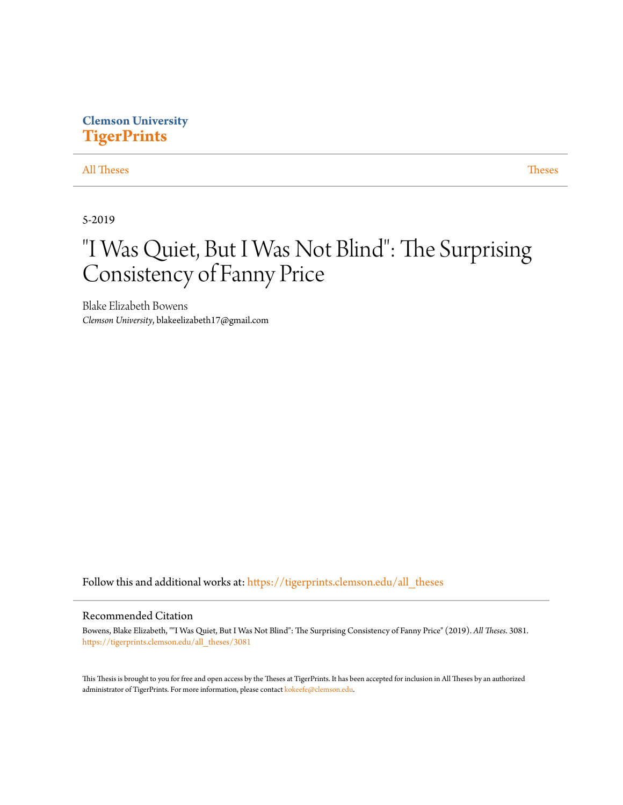# **Clemson University [TigerPrints](https://tigerprints.clemson.edu?utm_source=tigerprints.clemson.edu%2Fall_theses%2F3081&utm_medium=PDF&utm_campaign=PDFCoverPages)**

## [All Theses](https://tigerprints.clemson.edu/all_theses?utm_source=tigerprints.clemson.edu%2Fall_theses%2F3081&utm_medium=PDF&utm_campaign=PDFCoverPages) **[Theses](https://tigerprints.clemson.edu/theses?utm_source=tigerprints.clemson.edu%2Fall_theses%2F3081&utm_medium=PDF&utm_campaign=PDFCoverPages)**

5-2019

# "I Was Quiet, But I Was Not Blind": The Surprising Consistency of Fanny Price

Blake Elizabeth Bowens *Clemson University*, blakeelizabeth17@gmail.com

Follow this and additional works at: [https://tigerprints.clemson.edu/all\\_theses](https://tigerprints.clemson.edu/all_theses?utm_source=tigerprints.clemson.edu%2Fall_theses%2F3081&utm_medium=PDF&utm_campaign=PDFCoverPages)

### Recommended Citation

Bowens, Blake Elizabeth, ""I Was Quiet, But I Was Not Blind": The Surprising Consistency of Fanny Price" (2019). *All Theses*. 3081. [https://tigerprints.clemson.edu/all\\_theses/3081](https://tigerprints.clemson.edu/all_theses/3081?utm_source=tigerprints.clemson.edu%2Fall_theses%2F3081&utm_medium=PDF&utm_campaign=PDFCoverPages)

This Thesis is brought to you for free and open access by the Theses at TigerPrints. It has been accepted for inclusion in All Theses by an authorized administrator of TigerPrints. For more information, please contact [kokeefe@clemson.edu](mailto:kokeefe@clemson.edu).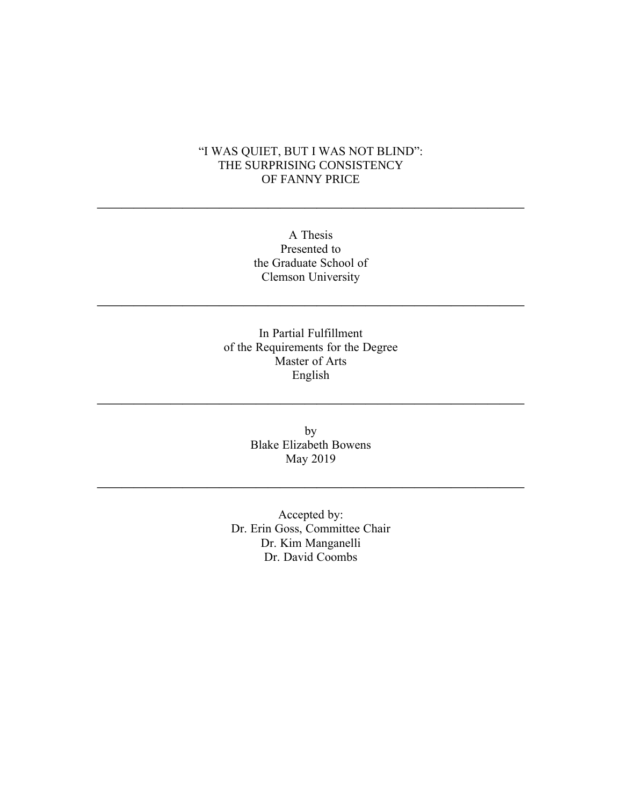# "I WAS QUIET, BUT I WAS NOT BLIND": THE SURPRISING CONSISTENCY OF FANNY PRICE

**———————————————————————————————————**

A Thesis Presented to the Graduate School of Clemson University

**———————————————————————————————————**

In Partial Fulfillment of the Requirements for the Degree Master of Arts English

> by Blake Elizabeth Bowens May 2019

**———————————————————————————————————**

Accepted by: Dr. Erin Goss, Committee Chair Dr. Kim Manganelli Dr. David Coombs

**———————————————————————————————————**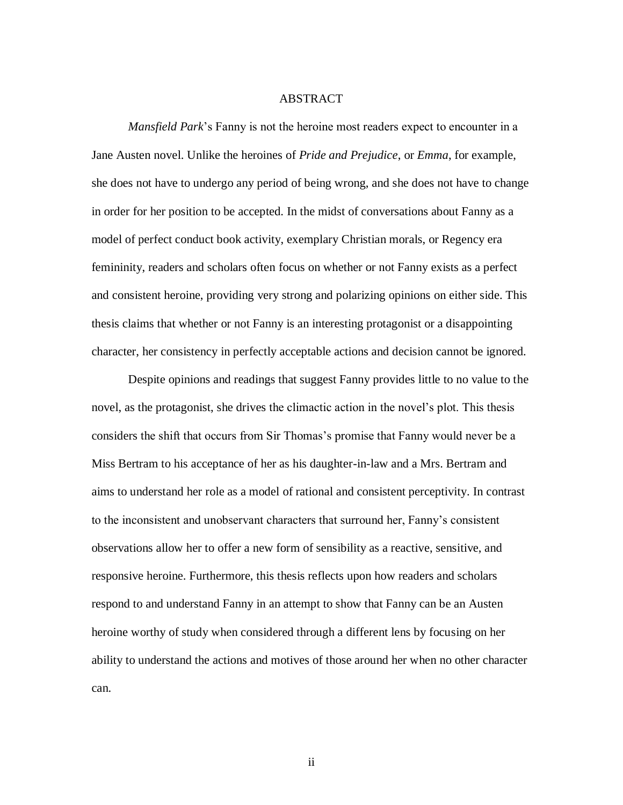#### ABSTRACT

*Mansfield Park*'s Fanny is not the heroine most readers expect to encounter in a Jane Austen novel. Unlike the heroines of *Pride and Prejudice*, or *Emma*, for example, she does not have to undergo any period of being wrong, and she does not have to change in order for her position to be accepted. In the midst of conversations about Fanny as a model of perfect conduct book activity, exemplary Christian morals, or Regency era femininity, readers and scholars often focus on whether or not Fanny exists as a perfect and consistent heroine, providing very strong and polarizing opinions on either side. This thesis claims that whether or not Fanny is an interesting protagonist or a disappointing character, her consistency in perfectly acceptable actions and decision cannot be ignored.

Despite opinions and readings that suggest Fanny provides little to no value to the novel, as the protagonist, she drives the climactic action in the novel's plot. This thesis considers the shift that occurs from Sir Thomas's promise that Fanny would never be a Miss Bertram to his acceptance of her as his daughter-in-law and a Mrs. Bertram and aims to understand her role as a model of rational and consistent perceptivity. In contrast to the inconsistent and unobservant characters that surround her, Fanny's consistent observations allow her to offer a new form of sensibility as a reactive, sensitive, and responsive heroine. Furthermore, this thesis reflects upon how readers and scholars respond to and understand Fanny in an attempt to show that Fanny can be an Austen heroine worthy of study when considered through a different lens by focusing on her ability to understand the actions and motives of those around her when no other character can.

ii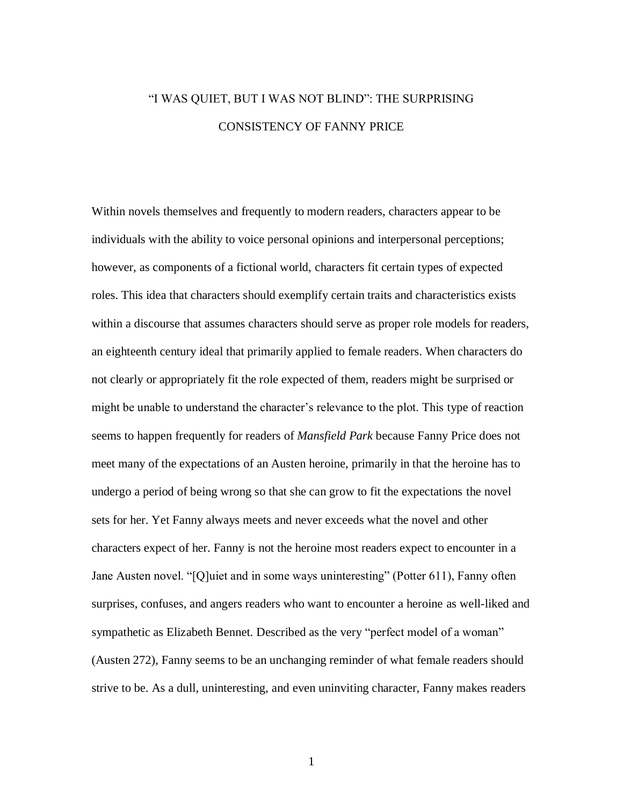# "I WAS QUIET, BUT I WAS NOT BLIND": THE SURPRISING CONSISTENCY OF FANNY PRICE

Within novels themselves and frequently to modern readers, characters appear to be individuals with the ability to voice personal opinions and interpersonal perceptions; however, as components of a fictional world, characters fit certain types of expected roles. This idea that characters should exemplify certain traits and characteristics exists within a discourse that assumes characters should serve as proper role models for readers, an eighteenth century ideal that primarily applied to female readers. When characters do not clearly or appropriately fit the role expected of them, readers might be surprised or might be unable to understand the character's relevance to the plot. This type of reaction seems to happen frequently for readers of *Mansfield Park* because Fanny Price does not meet many of the expectations of an Austen heroine, primarily in that the heroine has to undergo a period of being wrong so that she can grow to fit the expectations the novel sets for her. Yet Fanny always meets and never exceeds what the novel and other characters expect of her. Fanny is not the heroine most readers expect to encounter in a Jane Austen novel. "[Q]uiet and in some ways uninteresting" (Potter 611), Fanny often surprises, confuses, and angers readers who want to encounter a heroine as well-liked and sympathetic as Elizabeth Bennet. Described as the very "perfect model of a woman" (Austen 272), Fanny seems to be an unchanging reminder of what female readers should strive to be. As a dull, uninteresting, and even uninviting character, Fanny makes readers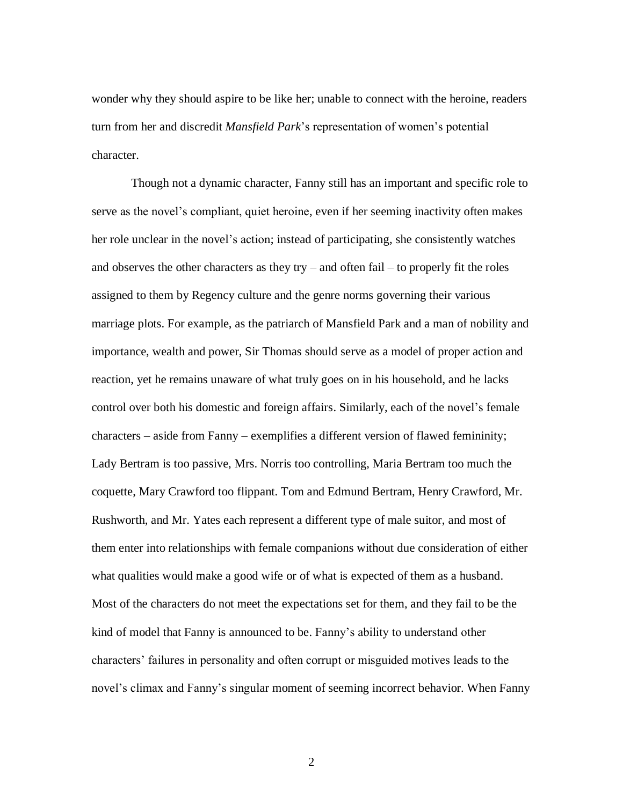wonder why they should aspire to be like her; unable to connect with the heroine, readers turn from her and discredit *Mansfield Park*'s representation of women's potential character.

Though not a dynamic character, Fanny still has an important and specific role to serve as the novel's compliant, quiet heroine, even if her seeming inactivity often makes her role unclear in the novel's action; instead of participating, she consistently watches and observes the other characters as they try – and often fail – to properly fit the roles assigned to them by Regency culture and the genre norms governing their various marriage plots. For example, as the patriarch of Mansfield Park and a man of nobility and importance, wealth and power, Sir Thomas should serve as a model of proper action and reaction, yet he remains unaware of what truly goes on in his household, and he lacks control over both his domestic and foreign affairs. Similarly, each of the novel's female characters – aside from Fanny – exemplifies a different version of flawed femininity; Lady Bertram is too passive, Mrs. Norris too controlling, Maria Bertram too much the coquette, Mary Crawford too flippant. Tom and Edmund Bertram, Henry Crawford, Mr. Rushworth, and Mr. Yates each represent a different type of male suitor, and most of them enter into relationships with female companions without due consideration of either what qualities would make a good wife or of what is expected of them as a husband. Most of the characters do not meet the expectations set for them, and they fail to be the kind of model that Fanny is announced to be. Fanny's ability to understand other characters' failures in personality and often corrupt or misguided motives leads to the novel's climax and Fanny's singular moment of seeming incorrect behavior. When Fanny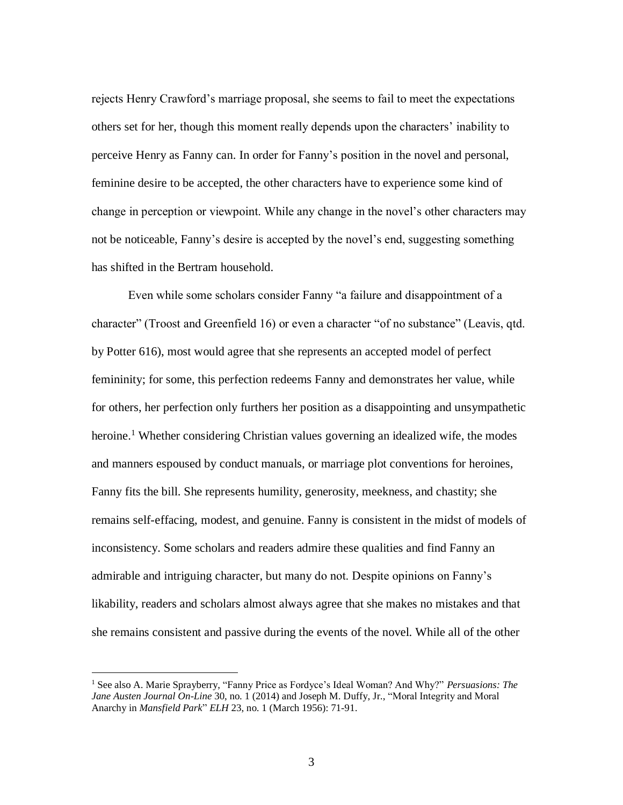rejects Henry Crawford's marriage proposal, she seems to fail to meet the expectations others set for her, though this moment really depends upon the characters' inability to perceive Henry as Fanny can. In order for Fanny's position in the novel and personal, feminine desire to be accepted, the other characters have to experience some kind of change in perception or viewpoint. While any change in the novel's other characters may not be noticeable, Fanny's desire is accepted by the novel's end, suggesting something has shifted in the Bertram household.

Even while some scholars consider Fanny "a failure and disappointment of a character" (Troost and Greenfield 16) or even a character "of no substance" (Leavis, qtd. by Potter 616), most would agree that she represents an accepted model of perfect femininity; for some, this perfection redeems Fanny and demonstrates her value, while for others, her perfection only furthers her position as a disappointing and unsympathetic heroine.<sup>1</sup> Whether considering Christian values governing an idealized wife, the modes and manners espoused by conduct manuals, or marriage plot conventions for heroines, Fanny fits the bill. She represents humility, generosity, meekness, and chastity; she remains self-effacing, modest, and genuine. Fanny is consistent in the midst of models of inconsistency. Some scholars and readers admire these qualities and find Fanny an admirable and intriguing character, but many do not. Despite opinions on Fanny's likability, readers and scholars almost always agree that she makes no mistakes and that she remains consistent and passive during the events of the novel. While all of the other

<sup>1</sup> See also A. Marie Sprayberry, "Fanny Price as Fordyce's Ideal Woman? And Why?" *Persuasions: The Jane Austen Journal On-Line* 30, no. 1 (2014) and Joseph M. Duffy, Jr., "Moral Integrity and Moral Anarchy in *Mansfield Park*" *ELH* 23, no. 1 (March 1956): 71-91.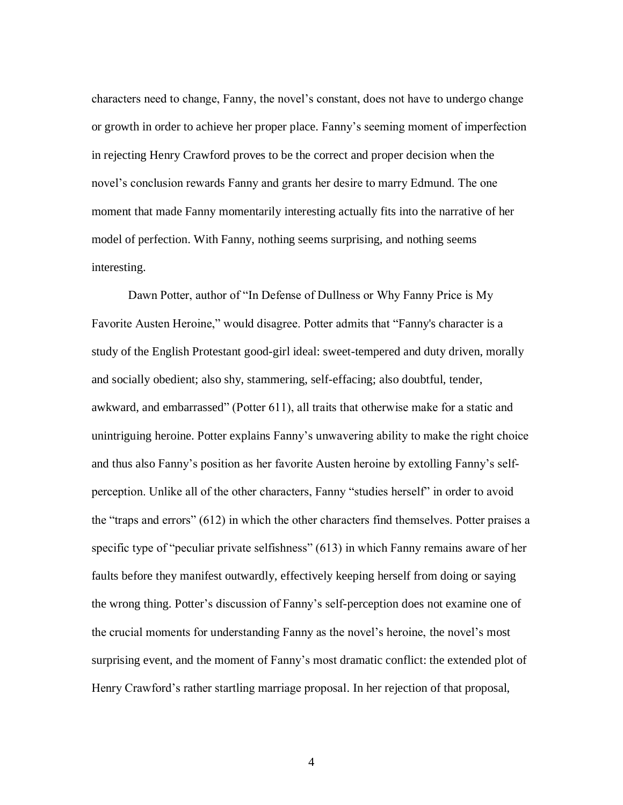characters need to change, Fanny, the novel's constant, does not have to undergo change or growth in order to achieve her proper place. Fanny's seeming moment of imperfection in rejecting Henry Crawford proves to be the correct and proper decision when the novel's conclusion rewards Fanny and grants her desire to marry Edmund. The one moment that made Fanny momentarily interesting actually fits into the narrative of her model of perfection. With Fanny, nothing seems surprising, and nothing seems interesting.

Dawn Potter, author of "In Defense of Dullness or Why Fanny Price is My Favorite Austen Heroine," would disagree. Potter admits that "Fanny's character is a study of the English Protestant good-girl ideal: sweet-tempered and duty driven, morally and socially obedient; also shy, stammering, self-effacing; also doubtful, tender, awkward, and embarrassed" (Potter 611), all traits that otherwise make for a static and unintriguing heroine. Potter explains Fanny's unwavering ability to make the right choice and thus also Fanny's position as her favorite Austen heroine by extolling Fanny's selfperception. Unlike all of the other characters, Fanny "studies herself" in order to avoid the "traps and errors" (612) in which the other characters find themselves. Potter praises a specific type of "peculiar private selfishness" (613) in which Fanny remains aware of her faults before they manifest outwardly, effectively keeping herself from doing or saying the wrong thing. Potter's discussion of Fanny's self-perception does not examine one of the crucial moments for understanding Fanny as the novel's heroine, the novel's most surprising event, and the moment of Fanny's most dramatic conflict: the extended plot of Henry Crawford's rather startling marriage proposal. In her rejection of that proposal,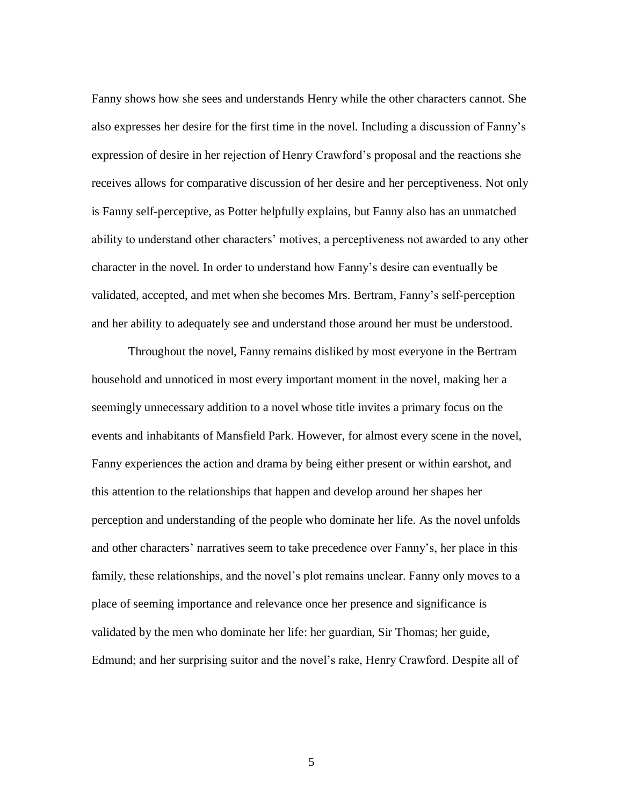Fanny shows how she sees and understands Henry while the other characters cannot. She also expresses her desire for the first time in the novel. Including a discussion of Fanny's expression of desire in her rejection of Henry Crawford's proposal and the reactions she receives allows for comparative discussion of her desire and her perceptiveness. Not only is Fanny self-perceptive, as Potter helpfully explains, but Fanny also has an unmatched ability to understand other characters' motives, a perceptiveness not awarded to any other character in the novel. In order to understand how Fanny's desire can eventually be validated, accepted, and met when she becomes Mrs. Bertram, Fanny's self-perception and her ability to adequately see and understand those around her must be understood.

Throughout the novel, Fanny remains disliked by most everyone in the Bertram household and unnoticed in most every important moment in the novel, making her a seemingly unnecessary addition to a novel whose title invites a primary focus on the events and inhabitants of Mansfield Park. However, for almost every scene in the novel, Fanny experiences the action and drama by being either present or within earshot, and this attention to the relationships that happen and develop around her shapes her perception and understanding of the people who dominate her life. As the novel unfolds and other characters' narratives seem to take precedence over Fanny's, her place in this family, these relationships, and the novel's plot remains unclear. Fanny only moves to a place of seeming importance and relevance once her presence and significance is validated by the men who dominate her life: her guardian, Sir Thomas; her guide, Edmund; and her surprising suitor and the novel's rake, Henry Crawford. Despite all of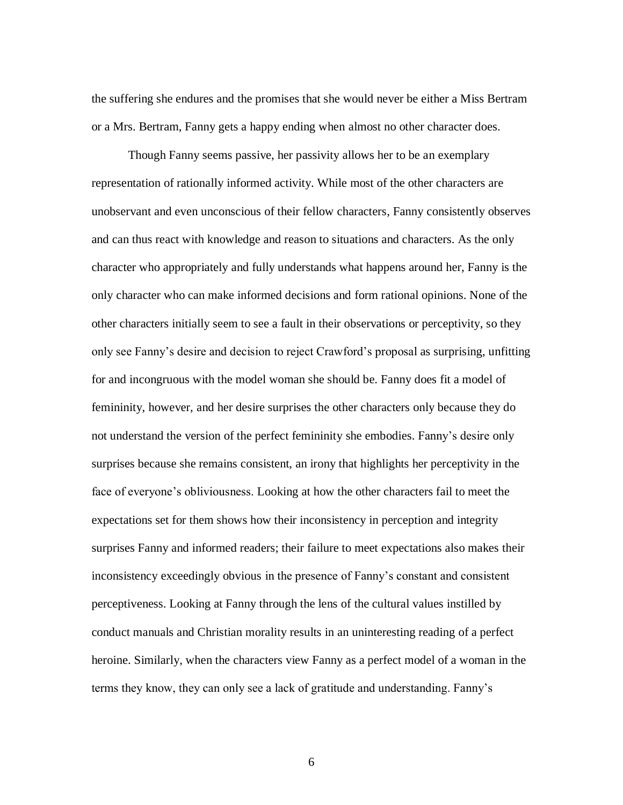the suffering she endures and the promises that she would never be either a Miss Bertram or a Mrs. Bertram, Fanny gets a happy ending when almost no other character does.

Though Fanny seems passive, her passivity allows her to be an exemplary representation of rationally informed activity. While most of the other characters are unobservant and even unconscious of their fellow characters, Fanny consistently observes and can thus react with knowledge and reason to situations and characters. As the only character who appropriately and fully understands what happens around her, Fanny is the only character who can make informed decisions and form rational opinions. None of the other characters initially seem to see a fault in their observations or perceptivity, so they only see Fanny's desire and decision to reject Crawford's proposal as surprising, unfitting for and incongruous with the model woman she should be. Fanny does fit a model of femininity, however, and her desire surprises the other characters only because they do not understand the version of the perfect femininity she embodies. Fanny's desire only surprises because she remains consistent, an irony that highlights her perceptivity in the face of everyone's obliviousness. Looking at how the other characters fail to meet the expectations set for them shows how their inconsistency in perception and integrity surprises Fanny and informed readers; their failure to meet expectations also makes their inconsistency exceedingly obvious in the presence of Fanny's constant and consistent perceptiveness. Looking at Fanny through the lens of the cultural values instilled by conduct manuals and Christian morality results in an uninteresting reading of a perfect heroine. Similarly, when the characters view Fanny as a perfect model of a woman in the terms they know, they can only see a lack of gratitude and understanding. Fanny's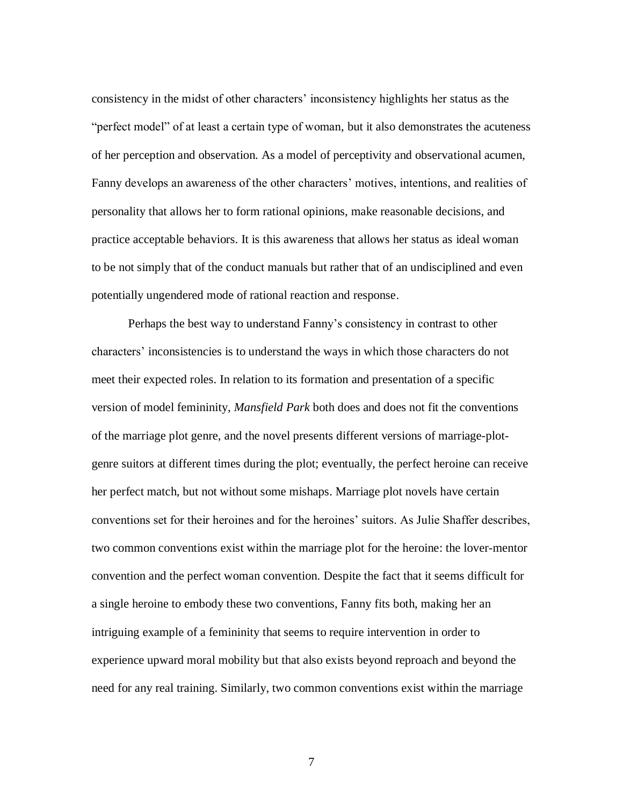consistency in the midst of other characters' inconsistency highlights her status as the "perfect model" of at least a certain type of woman, but it also demonstrates the acuteness of her perception and observation. As a model of perceptivity and observational acumen, Fanny develops an awareness of the other characters' motives, intentions, and realities of personality that allows her to form rational opinions, make reasonable decisions, and practice acceptable behaviors. It is this awareness that allows her status as ideal woman to be not simply that of the conduct manuals but rather that of an undisciplined and even potentially ungendered mode of rational reaction and response.

Perhaps the best way to understand Fanny's consistency in contrast to other characters' inconsistencies is to understand the ways in which those characters do not meet their expected roles. In relation to its formation and presentation of a specific version of model femininity, *Mansfield Park* both does and does not fit the conventions of the marriage plot genre, and the novel presents different versions of marriage-plotgenre suitors at different times during the plot; eventually, the perfect heroine can receive her perfect match, but not without some mishaps. Marriage plot novels have certain conventions set for their heroines and for the heroines' suitors. As Julie Shaffer describes, two common conventions exist within the marriage plot for the heroine: the lover-mentor convention and the perfect woman convention. Despite the fact that it seems difficult for a single heroine to embody these two conventions, Fanny fits both, making her an intriguing example of a femininity that seems to require intervention in order to experience upward moral mobility but that also exists beyond reproach and beyond the need for any real training. Similarly, two common conventions exist within the marriage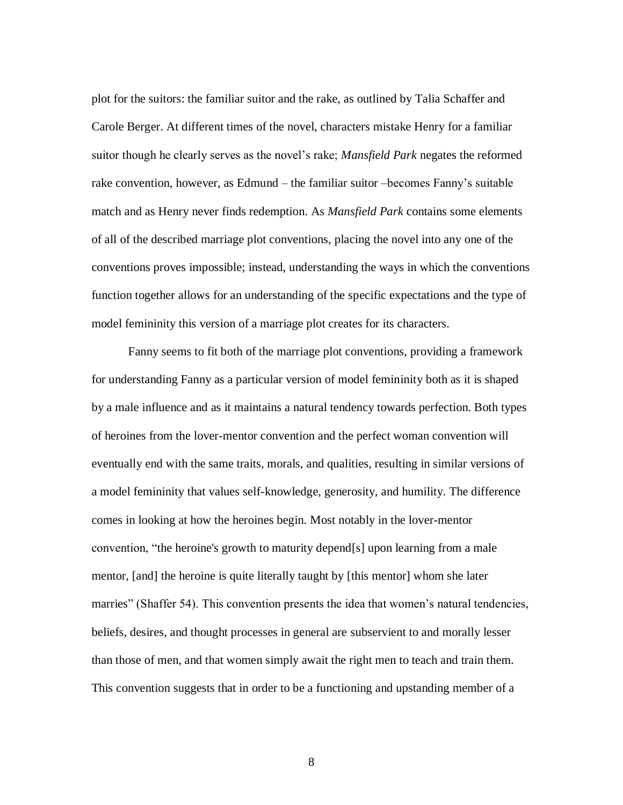plot for the suitors: the familiar suitor and the rake, as outlined by Talia Schaffer and Carole Berger. At different times of the novel, characters mistake Henry for a familiar suitor though he clearly serves as the novel's rake; *Mansfield Park* negates the reformed rake convention, however, as Edmund – the familiar suitor –becomes Fanny's suitable match and as Henry never finds redemption. As *Mansfield Park* contains some elements of all of the described marriage plot conventions, placing the novel into any one of the conventions proves impossible; instead, understanding the ways in which the conventions function together allows for an understanding of the specific expectations and the type of model femininity this version of a marriage plot creates for its characters.

Fanny seems to fit both of the marriage plot conventions, providing a framework for understanding Fanny as a particular version of model femininity both as it is shaped by a male influence and as it maintains a natural tendency towards perfection. Both types of heroines from the lover-mentor convention and the perfect woman convention will eventually end with the same traits, morals, and qualities, resulting in similar versions of a model femininity that values self-knowledge, generosity, and humility. The difference comes in looking at how the heroines begin. Most notably in the lover-mentor convention, "the heroine's growth to maturity depend[s] upon learning from a male mentor, [and] the heroine is quite literally taught by [this mentor] whom she later marries" (Shaffer 54). This convention presents the idea that women's natural tendencies, beliefs, desires, and thought processes in general are subservient to and morally lesser than those of men, and that women simply await the right men to teach and train them. This convention suggests that in order to be a functioning and upstanding member of a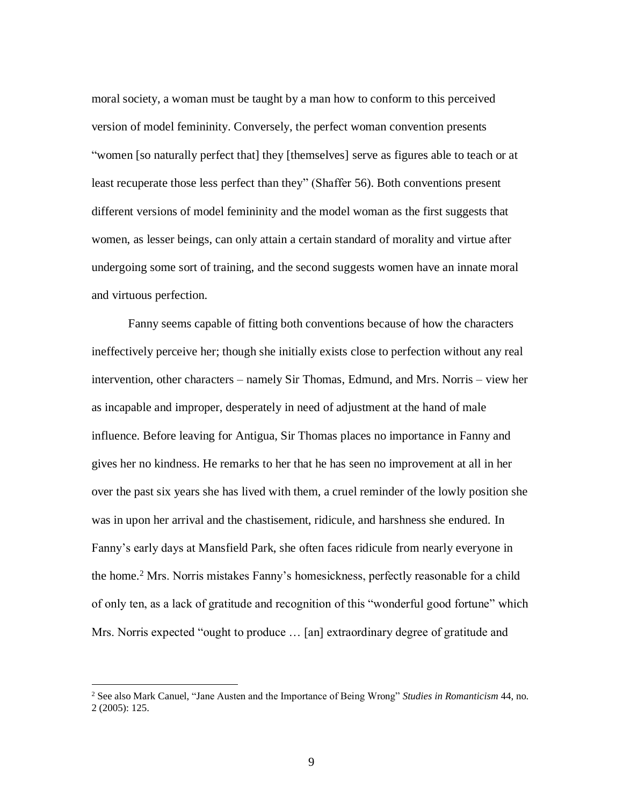moral society, a woman must be taught by a man how to conform to this perceived version of model femininity. Conversely, the perfect woman convention presents "women [so naturally perfect that] they [themselves] serve as figures able to teach or at least recuperate those less perfect than they" (Shaffer 56). Both conventions present different versions of model femininity and the model woman as the first suggests that women, as lesser beings, can only attain a certain standard of morality and virtue after undergoing some sort of training, and the second suggests women have an innate moral and virtuous perfection.

Fanny seems capable of fitting both conventions because of how the characters ineffectively perceive her; though she initially exists close to perfection without any real intervention, other characters – namely Sir Thomas, Edmund, and Mrs. Norris – view her as incapable and improper, desperately in need of adjustment at the hand of male influence. Before leaving for Antigua, Sir Thomas places no importance in Fanny and gives her no kindness. He remarks to her that he has seen no improvement at all in her over the past six years she has lived with them, a cruel reminder of the lowly position she was in upon her arrival and the chastisement, ridicule, and harshness she endured. In Fanny's early days at Mansfield Park, she often faces ridicule from nearly everyone in the home. <sup>2</sup> Mrs. Norris mistakes Fanny's homesickness, perfectly reasonable for a child of only ten, as a lack of gratitude and recognition of this "wonderful good fortune" which Mrs. Norris expected "ought to produce … [an] extraordinary degree of gratitude and

<sup>2</sup> See also Mark Canuel, "Jane Austen and the Importance of Being Wrong" *Studies in Romanticism* 44, no. 2 (2005): 125.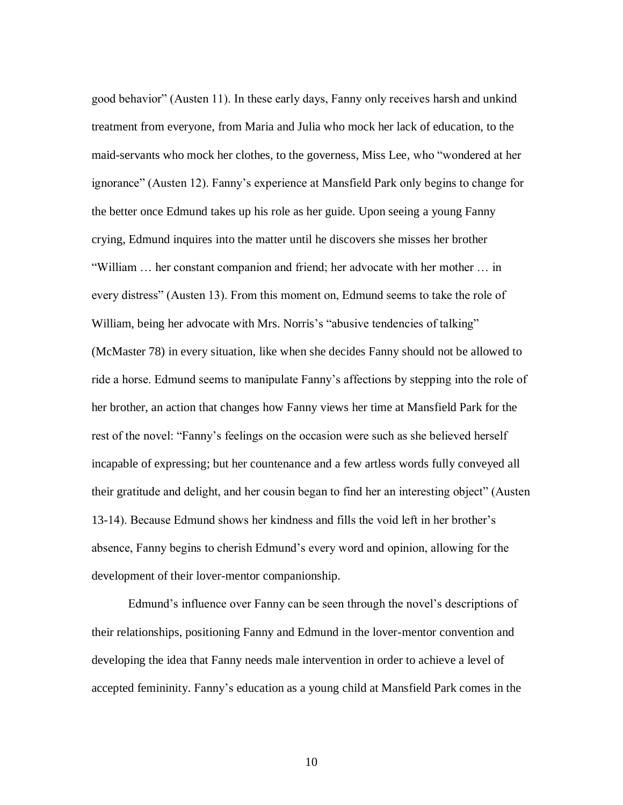good behavior" (Austen 11). In these early days, Fanny only receives harsh and unkind treatment from everyone, from Maria and Julia who mock her lack of education, to the maid-servants who mock her clothes, to the governess, Miss Lee, who "wondered at her ignorance" (Austen 12). Fanny's experience at Mansfield Park only begins to change for the better once Edmund takes up his role as her guide. Upon seeing a young Fanny crying, Edmund inquires into the matter until he discovers she misses her brother "William … her constant companion and friend; her advocate with her mother … in every distress" (Austen 13). From this moment on, Edmund seems to take the role of William, being her advocate with Mrs. Norris's "abusive tendencies of talking" (McMaster 78) in every situation, like when she decides Fanny should not be allowed to ride a horse. Edmund seems to manipulate Fanny's affections by stepping into the role of her brother, an action that changes how Fanny views her time at Mansfield Park for the rest of the novel: "Fanny's feelings on the occasion were such as she believed herself incapable of expressing; but her countenance and a few artless words fully conveyed all their gratitude and delight, and her cousin began to find her an interesting object" (Austen 13-14). Because Edmund shows her kindness and fills the void left in her brother's absence, Fanny begins to cherish Edmund's every word and opinion, allowing for the development of their lover-mentor companionship.

Edmund's influence over Fanny can be seen through the novel's descriptions of their relationships, positioning Fanny and Edmund in the lover-mentor convention and developing the idea that Fanny needs male intervention in order to achieve a level of accepted femininity. Fanny's education as a young child at Mansfield Park comes in the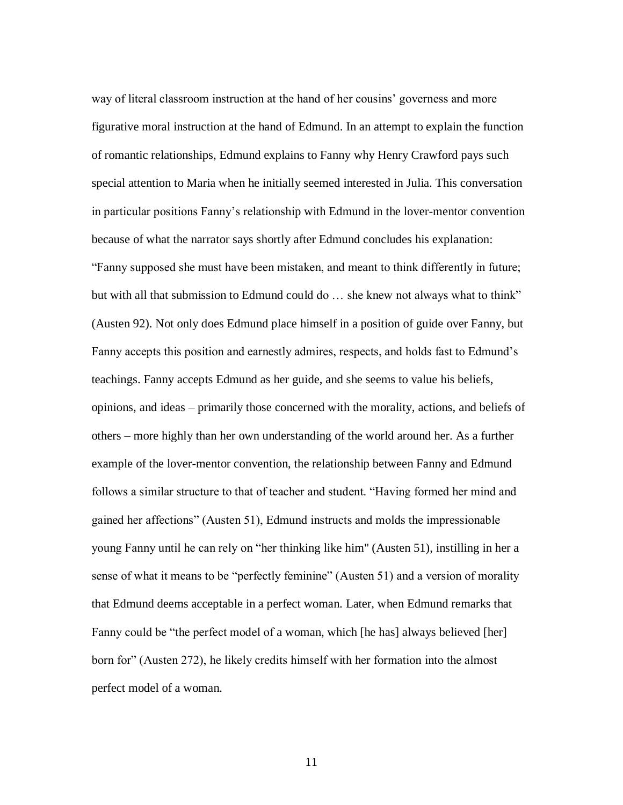way of literal classroom instruction at the hand of her cousins' governess and more figurative moral instruction at the hand of Edmund. In an attempt to explain the function of romantic relationships, Edmund explains to Fanny why Henry Crawford pays such special attention to Maria when he initially seemed interested in Julia. This conversation in particular positions Fanny's relationship with Edmund in the lover-mentor convention because of what the narrator says shortly after Edmund concludes his explanation: "Fanny supposed she must have been mistaken, and meant to think differently in future; but with all that submission to Edmund could do … she knew not always what to think" (Austen 92). Not only does Edmund place himself in a position of guide over Fanny, but Fanny accepts this position and earnestly admires, respects, and holds fast to Edmund's teachings. Fanny accepts Edmund as her guide, and she seems to value his beliefs, opinions, and ideas – primarily those concerned with the morality, actions, and beliefs of others – more highly than her own understanding of the world around her. As a further example of the lover-mentor convention, the relationship between Fanny and Edmund follows a similar structure to that of teacher and student. "Having formed her mind and gained her affections" (Austen 51), Edmund instructs and molds the impressionable young Fanny until he can rely on "her thinking like him" (Austen 51), instilling in her a sense of what it means to be "perfectly feminine" (Austen 51) and a version of morality that Edmund deems acceptable in a perfect woman. Later, when Edmund remarks that Fanny could be "the perfect model of a woman, which [he has] always believed [her] born for" (Austen 272), he likely credits himself with her formation into the almost perfect model of a woman.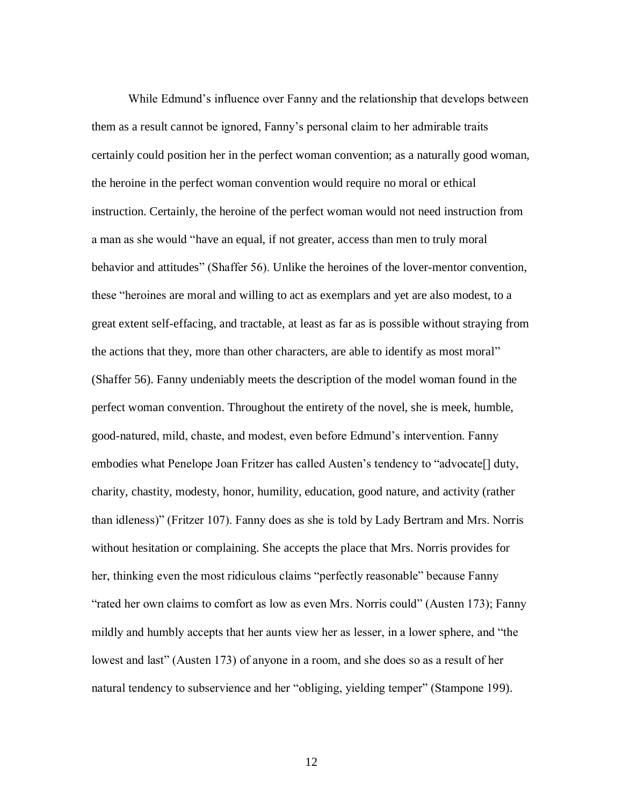While Edmund's influence over Fanny and the relationship that develops between them as a result cannot be ignored, Fanny's personal claim to her admirable traits certainly could position her in the perfect woman convention; as a naturally good woman, the heroine in the perfect woman convention would require no moral or ethical instruction. Certainly, the heroine of the perfect woman would not need instruction from a man as she would "have an equal, if not greater, access than men to truly moral behavior and attitudes" (Shaffer 56). Unlike the heroines of the lover-mentor convention, these "heroines are moral and willing to act as exemplars and yet are also modest, to a great extent self-effacing, and tractable, at least as far as is possible without straying from the actions that they, more than other characters, are able to identify as most moral" (Shaffer 56). Fanny undeniably meets the description of the model woman found in the perfect woman convention. Throughout the entirety of the novel, she is meek, humble, good-natured, mild, chaste, and modest, even before Edmund's intervention. Fanny embodies what Penelope Joan Fritzer has called Austen's tendency to "advocate[] duty, charity, chastity, modesty, honor, humility, education, good nature, and activity (rather than idleness)" (Fritzer 107). Fanny does as she is told by Lady Bertram and Mrs. Norris without hesitation or complaining. She accepts the place that Mrs. Norris provides for her, thinking even the most ridiculous claims "perfectly reasonable" because Fanny "rated her own claims to comfort as low as even Mrs. Norris could" (Austen 173); Fanny mildly and humbly accepts that her aunts view her as lesser, in a lower sphere, and "the lowest and last" (Austen 173) of anyone in a room, and she does so as a result of her natural tendency to subservience and her "obliging, yielding temper" (Stampone 199).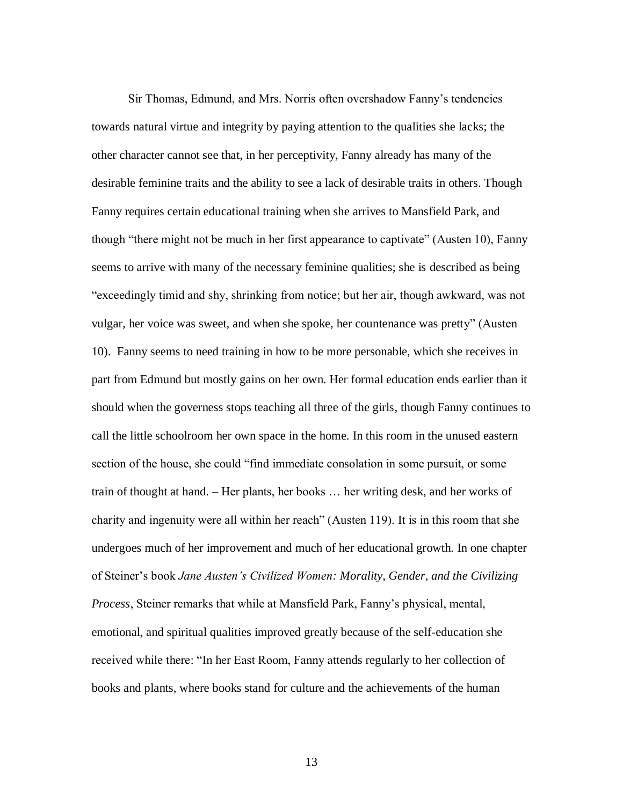Sir Thomas, Edmund, and Mrs. Norris often overshadow Fanny's tendencies towards natural virtue and integrity by paying attention to the qualities she lacks; the other character cannot see that, in her perceptivity, Fanny already has many of the desirable feminine traits and the ability to see a lack of desirable traits in others. Though Fanny requires certain educational training when she arrives to Mansfield Park, and though "there might not be much in her first appearance to captivate" (Austen 10), Fanny seems to arrive with many of the necessary feminine qualities; she is described as being "exceedingly timid and shy, shrinking from notice; but her air, though awkward, was not vulgar, her voice was sweet, and when she spoke, her countenance was pretty" (Austen 10). Fanny seems to need training in how to be more personable, which she receives in part from Edmund but mostly gains on her own. Her formal education ends earlier than it should when the governess stops teaching all three of the girls, though Fanny continues to call the little schoolroom her own space in the home. In this room in the unused eastern section of the house, she could "find immediate consolation in some pursuit, or some train of thought at hand. – Her plants, her books … her writing desk, and her works of charity and ingenuity were all within her reach" (Austen 119). It is in this room that she undergoes much of her improvement and much of her educational growth. In one chapter of Steiner's book *Jane Austen's Civilized Women: Morality, Gender, and the Civilizing Process*, Steiner remarks that while at Mansfield Park, Fanny's physical, mental, emotional, and spiritual qualities improved greatly because of the self-education she received while there: "In her East Room, Fanny attends regularly to her collection of books and plants, where books stand for culture and the achievements of the human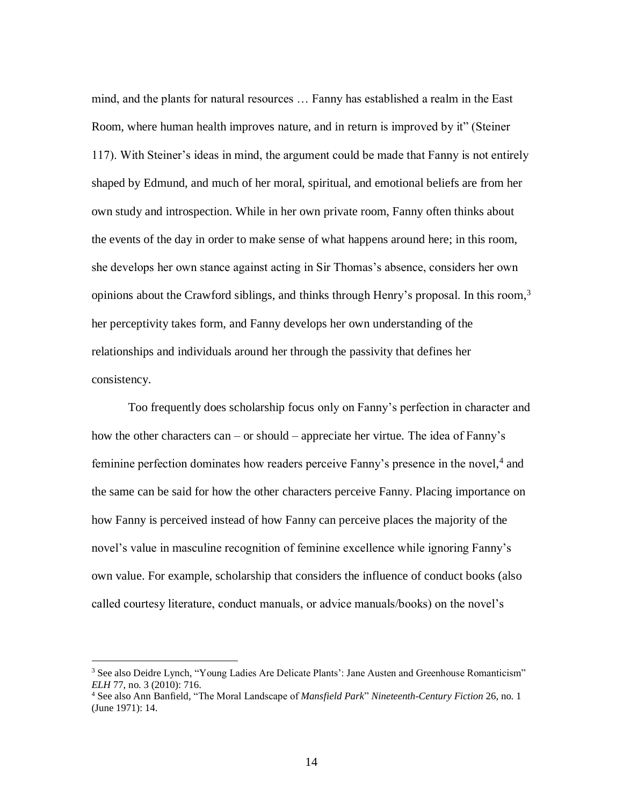mind, and the plants for natural resources … Fanny has established a realm in the East Room, where human health improves nature, and in return is improved by it" (Steiner 117). With Steiner's ideas in mind, the argument could be made that Fanny is not entirely shaped by Edmund, and much of her moral, spiritual, and emotional beliefs are from her own study and introspection. While in her own private room, Fanny often thinks about the events of the day in order to make sense of what happens around here; in this room, she develops her own stance against acting in Sir Thomas's absence, considers her own opinions about the Crawford siblings, and thinks through Henry's proposal. In this room, 3 her perceptivity takes form, and Fanny develops her own understanding of the relationships and individuals around her through the passivity that defines her consistency.

Too frequently does scholarship focus only on Fanny's perfection in character and how the other characters can – or should – appreciate her virtue. The idea of Fanny's feminine perfection dominates how readers perceive Fanny's presence in the novel,<sup>4</sup> and the same can be said for how the other characters perceive Fanny. Placing importance on how Fanny is perceived instead of how Fanny can perceive places the majority of the novel's value in masculine recognition of feminine excellence while ignoring Fanny's own value. For example, scholarship that considers the influence of conduct books (also called courtesy literature, conduct manuals, or advice manuals/books) on the novel's

<sup>&</sup>lt;sup>3</sup> See also Deidre Lynch, "Young Ladies Are Delicate Plants': Jane Austen and Greenhouse Romanticism" *ELH* 77, no. 3 (2010): 716.

<sup>4</sup> See also Ann Banfield, "The Moral Landscape of *Mansfield Park*" *Nineteenth-Century Fiction* 26, no. 1 (June 1971): 14.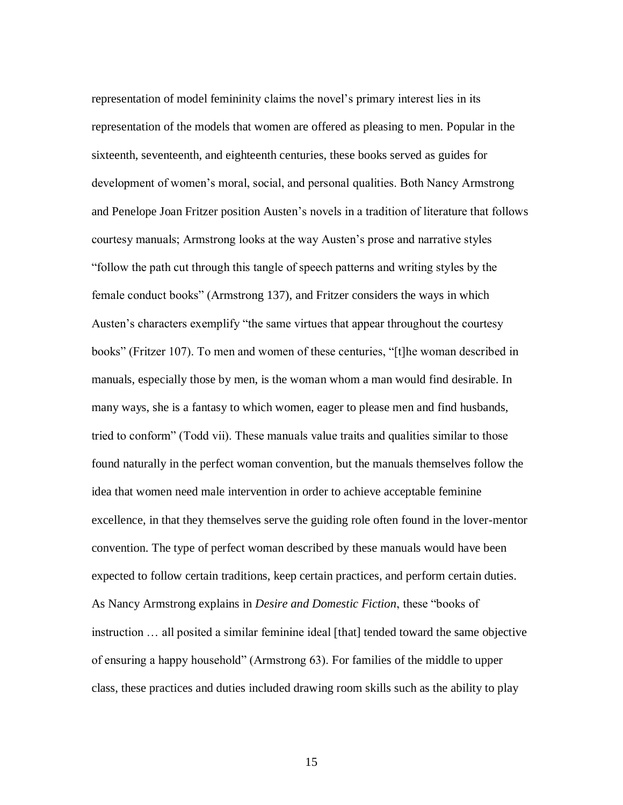representation of model femininity claims the novel's primary interest lies in its representation of the models that women are offered as pleasing to men. Popular in the sixteenth, seventeenth, and eighteenth centuries, these books served as guides for development of women's moral, social, and personal qualities. Both Nancy Armstrong and Penelope Joan Fritzer position Austen's novels in a tradition of literature that follows courtesy manuals; Armstrong looks at the way Austen's prose and narrative styles "follow the path cut through this tangle of speech patterns and writing styles by the female conduct books" (Armstrong 137), and Fritzer considers the ways in which Austen's characters exemplify "the same virtues that appear throughout the courtesy books" (Fritzer 107). To men and women of these centuries, "[t]he woman described in manuals, especially those by men, is the woman whom a man would find desirable. In many ways, she is a fantasy to which women, eager to please men and find husbands, tried to conform" (Todd vii). These manuals value traits and qualities similar to those found naturally in the perfect woman convention, but the manuals themselves follow the idea that women need male intervention in order to achieve acceptable feminine excellence, in that they themselves serve the guiding role often found in the lover-mentor convention. The type of perfect woman described by these manuals would have been expected to follow certain traditions, keep certain practices, and perform certain duties. As Nancy Armstrong explains in *Desire and Domestic Fiction*, these "books of instruction … all posited a similar feminine ideal [that] tended toward the same objective of ensuring a happy household" (Armstrong 63). For families of the middle to upper class, these practices and duties included drawing room skills such as the ability to play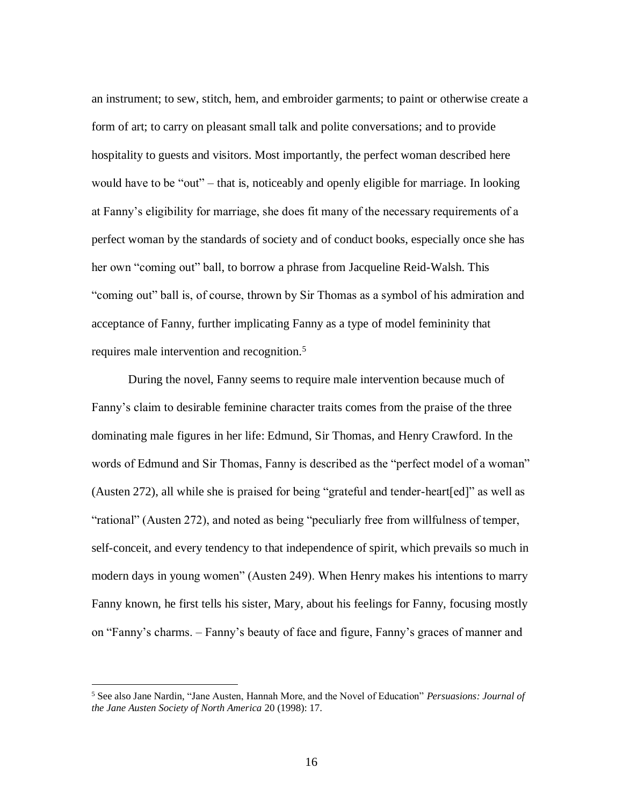an instrument; to sew, stitch, hem, and embroider garments; to paint or otherwise create a form of art; to carry on pleasant small talk and polite conversations; and to provide hospitality to guests and visitors. Most importantly, the perfect woman described here would have to be "out" – that is, noticeably and openly eligible for marriage. In looking at Fanny's eligibility for marriage, she does fit many of the necessary requirements of a perfect woman by the standards of society and of conduct books, especially once she has her own "coming out" ball, to borrow a phrase from Jacqueline Reid-Walsh. This "coming out" ball is, of course, thrown by Sir Thomas as a symbol of his admiration and acceptance of Fanny, further implicating Fanny as a type of model femininity that requires male intervention and recognition.<sup>5</sup>

During the novel, Fanny seems to require male intervention because much of Fanny's claim to desirable feminine character traits comes from the praise of the three dominating male figures in her life: Edmund, Sir Thomas, and Henry Crawford. In the words of Edmund and Sir Thomas, Fanny is described as the "perfect model of a woman" (Austen 272), all while she is praised for being "grateful and tender-heart[ed]" as well as "rational" (Austen 272), and noted as being "peculiarly free from willfulness of temper, self-conceit, and every tendency to that independence of spirit, which prevails so much in modern days in young women" (Austen 249). When Henry makes his intentions to marry Fanny known, he first tells his sister, Mary, about his feelings for Fanny, focusing mostly on "Fanny's charms. – Fanny's beauty of face and figure, Fanny's graces of manner and

 $\overline{\phantom{a}}$ 

<sup>5</sup> See also Jane Nardin, "Jane Austen, Hannah More, and the Novel of Education" *Persuasions: Journal of the Jane Austen Society of North America* 20 (1998): 17.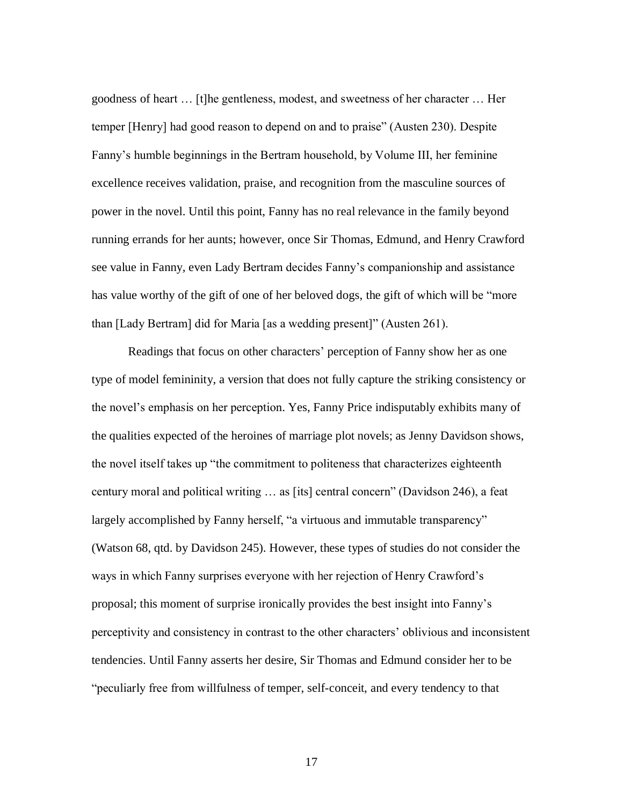goodness of heart … [t]he gentleness, modest, and sweetness of her character … Her temper [Henry] had good reason to depend on and to praise" (Austen 230). Despite Fanny's humble beginnings in the Bertram household, by Volume III, her feminine excellence receives validation, praise, and recognition from the masculine sources of power in the novel. Until this point, Fanny has no real relevance in the family beyond running errands for her aunts; however, once Sir Thomas, Edmund, and Henry Crawford see value in Fanny, even Lady Bertram decides Fanny's companionship and assistance has value worthy of the gift of one of her beloved dogs, the gift of which will be "more than [Lady Bertram] did for Maria [as a wedding present]" (Austen 261).

Readings that focus on other characters' perception of Fanny show her as one type of model femininity, a version that does not fully capture the striking consistency or the novel's emphasis on her perception. Yes, Fanny Price indisputably exhibits many of the qualities expected of the heroines of marriage plot novels; as Jenny Davidson shows, the novel itself takes up "the commitment to politeness that characterizes eighteenth century moral and political writing … as [its] central concern" (Davidson 246), a feat largely accomplished by Fanny herself, "a virtuous and immutable transparency" (Watson 68, qtd. by Davidson 245). However, these types of studies do not consider the ways in which Fanny surprises everyone with her rejection of Henry Crawford's proposal; this moment of surprise ironically provides the best insight into Fanny's perceptivity and consistency in contrast to the other characters' oblivious and inconsistent tendencies. Until Fanny asserts her desire, Sir Thomas and Edmund consider her to be "peculiarly free from willfulness of temper, self-conceit, and every tendency to that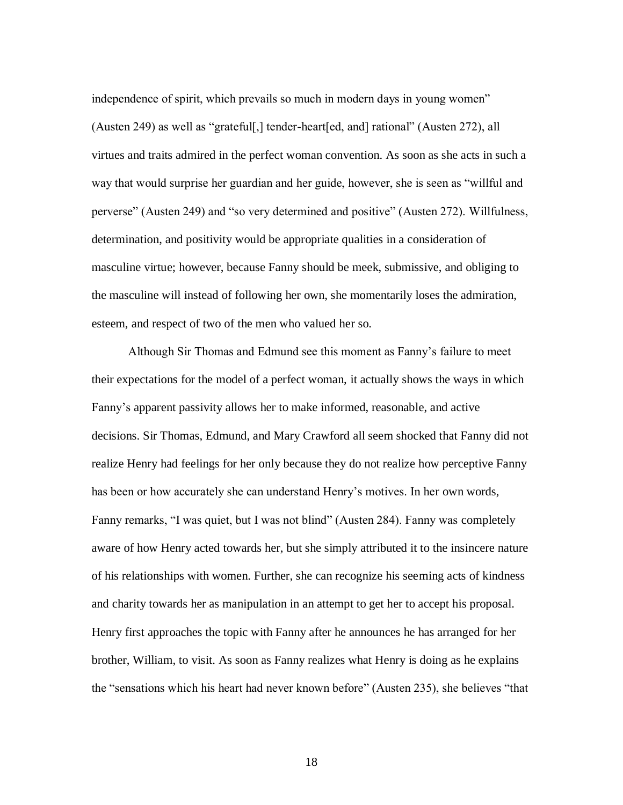independence of spirit, which prevails so much in modern days in young women" (Austen 249) as well as "grateful[,] tender-heart[ed, and] rational" (Austen 272), all virtues and traits admired in the perfect woman convention. As soon as she acts in such a way that would surprise her guardian and her guide, however, she is seen as "willful and perverse" (Austen 249) and "so very determined and positive" (Austen 272). Willfulness, determination, and positivity would be appropriate qualities in a consideration of masculine virtue; however, because Fanny should be meek, submissive, and obliging to the masculine will instead of following her own, she momentarily loses the admiration, esteem, and respect of two of the men who valued her so.

Although Sir Thomas and Edmund see this moment as Fanny's failure to meet their expectations for the model of a perfect woman, it actually shows the ways in which Fanny's apparent passivity allows her to make informed, reasonable, and active decisions. Sir Thomas, Edmund, and Mary Crawford all seem shocked that Fanny did not realize Henry had feelings for her only because they do not realize how perceptive Fanny has been or how accurately she can understand Henry's motives. In her own words, Fanny remarks, "I was quiet, but I was not blind" (Austen 284). Fanny was completely aware of how Henry acted towards her, but she simply attributed it to the insincere nature of his relationships with women. Further, she can recognize his seeming acts of kindness and charity towards her as manipulation in an attempt to get her to accept his proposal. Henry first approaches the topic with Fanny after he announces he has arranged for her brother, William, to visit. As soon as Fanny realizes what Henry is doing as he explains the "sensations which his heart had never known before" (Austen 235), she believes "that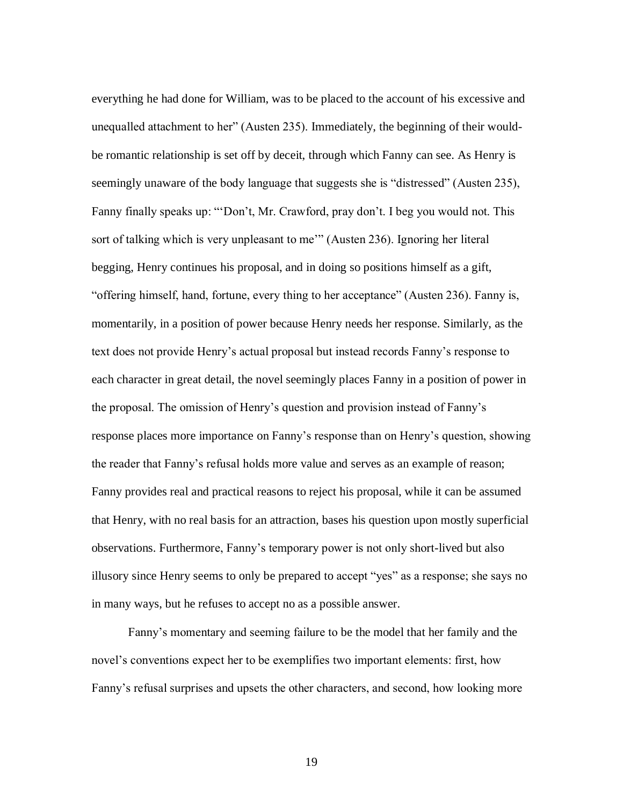everything he had done for William, was to be placed to the account of his excessive and unequalled attachment to her" (Austen 235). Immediately, the beginning of their wouldbe romantic relationship is set off by deceit, through which Fanny can see. As Henry is seemingly unaware of the body language that suggests she is "distressed" (Austen 235), Fanny finally speaks up: "'Don't, Mr. Crawford, pray don't. I beg you would not. This sort of talking which is very unpleasant to me'" (Austen 236). Ignoring her literal begging, Henry continues his proposal, and in doing so positions himself as a gift, "offering himself, hand, fortune, every thing to her acceptance" (Austen 236). Fanny is, momentarily, in a position of power because Henry needs her response. Similarly, as the text does not provide Henry's actual proposal but instead records Fanny's response to each character in great detail, the novel seemingly places Fanny in a position of power in the proposal. The omission of Henry's question and provision instead of Fanny's response places more importance on Fanny's response than on Henry's question, showing the reader that Fanny's refusal holds more value and serves as an example of reason; Fanny provides real and practical reasons to reject his proposal, while it can be assumed that Henry, with no real basis for an attraction, bases his question upon mostly superficial observations. Furthermore, Fanny's temporary power is not only short-lived but also illusory since Henry seems to only be prepared to accept "yes" as a response; she says no in many ways, but he refuses to accept no as a possible answer.

Fanny's momentary and seeming failure to be the model that her family and the novel's conventions expect her to be exemplifies two important elements: first, how Fanny's refusal surprises and upsets the other characters, and second, how looking more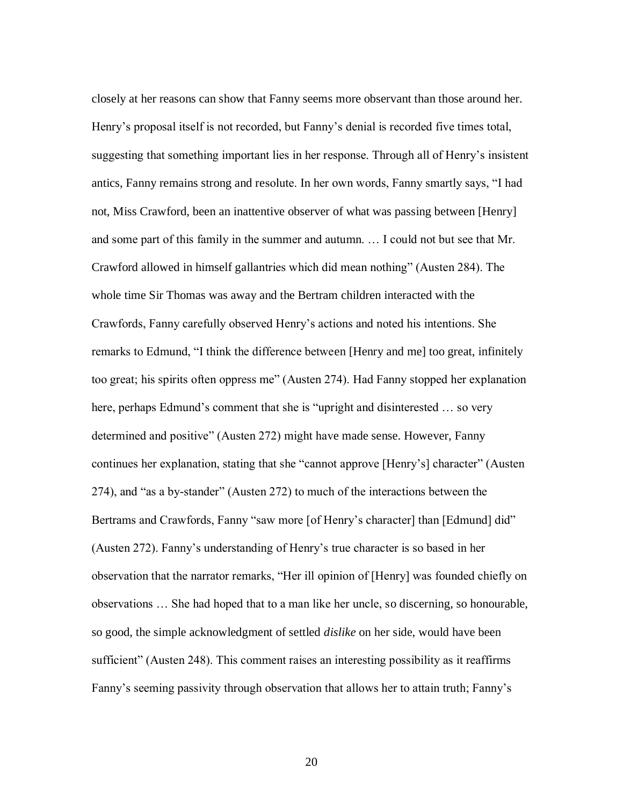closely at her reasons can show that Fanny seems more observant than those around her. Henry's proposal itself is not recorded, but Fanny's denial is recorded five times total, suggesting that something important lies in her response. Through all of Henry's insistent antics, Fanny remains strong and resolute. In her own words, Fanny smartly says, "I had not, Miss Crawford, been an inattentive observer of what was passing between [Henry] and some part of this family in the summer and autumn. … I could not but see that Mr. Crawford allowed in himself gallantries which did mean nothing" (Austen 284). The whole time Sir Thomas was away and the Bertram children interacted with the Crawfords, Fanny carefully observed Henry's actions and noted his intentions. She remarks to Edmund, "I think the difference between [Henry and me] too great, infinitely too great; his spirits often oppress me" (Austen 274). Had Fanny stopped her explanation here, perhaps Edmund's comment that she is "upright and disinterested … so very determined and positive" (Austen 272) might have made sense. However, Fanny continues her explanation, stating that she "cannot approve [Henry's] character" (Austen 274), and "as a by-stander" (Austen 272) to much of the interactions between the Bertrams and Crawfords, Fanny "saw more [of Henry's character] than [Edmund] did" (Austen 272). Fanny's understanding of Henry's true character is so based in her observation that the narrator remarks, "Her ill opinion of [Henry] was founded chiefly on observations … She had hoped that to a man like her uncle, so discerning, so honourable, so good, the simple acknowledgment of settled *dislike* on her side, would have been sufficient" (Austen 248). This comment raises an interesting possibility as it reaffirms Fanny's seeming passivity through observation that allows her to attain truth; Fanny's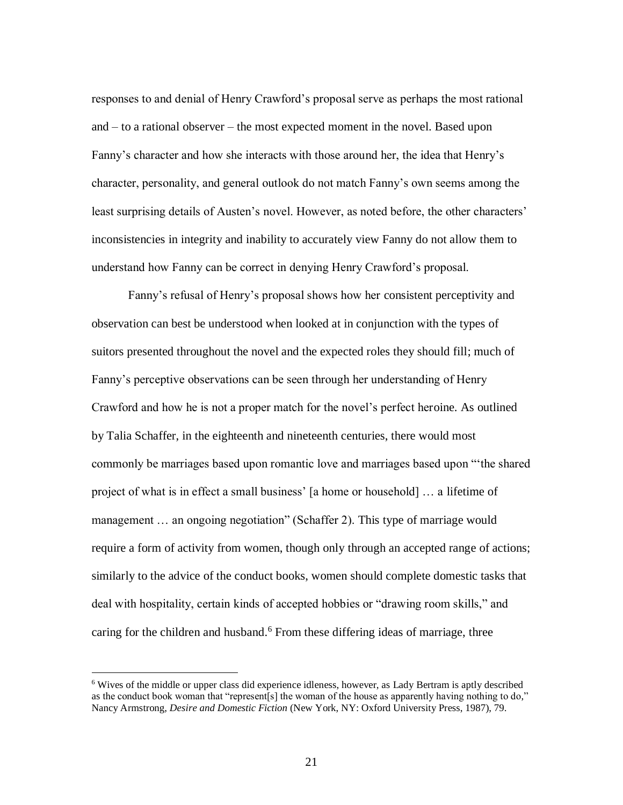responses to and denial of Henry Crawford's proposal serve as perhaps the most rational and – to a rational observer – the most expected moment in the novel. Based upon Fanny's character and how she interacts with those around her, the idea that Henry's character, personality, and general outlook do not match Fanny's own seems among the least surprising details of Austen's novel. However, as noted before, the other characters' inconsistencies in integrity and inability to accurately view Fanny do not allow them to understand how Fanny can be correct in denying Henry Crawford's proposal.

Fanny's refusal of Henry's proposal shows how her consistent perceptivity and observation can best be understood when looked at in conjunction with the types of suitors presented throughout the novel and the expected roles they should fill; much of Fanny's perceptive observations can be seen through her understanding of Henry Crawford and how he is not a proper match for the novel's perfect heroine. As outlined by Talia Schaffer, in the eighteenth and nineteenth centuries, there would most commonly be marriages based upon romantic love and marriages based upon "'the shared project of what is in effect a small business' [a home or household] … a lifetime of management ... an ongoing negotiation" (Schaffer 2). This type of marriage would require a form of activity from women, though only through an accepted range of actions; similarly to the advice of the conduct books, women should complete domestic tasks that deal with hospitality, certain kinds of accepted hobbies or "drawing room skills," and caring for the children and husband. <sup>6</sup> From these differing ideas of marriage, three

<sup>6</sup> Wives of the middle or upper class did experience idleness, however, as Lady Bertram is aptly described as the conduct book woman that "represent[s] the woman of the house as apparently having nothing to do," Nancy Armstrong, *Desire and Domestic Fiction* (New York, NY: Oxford University Press, 1987), 79.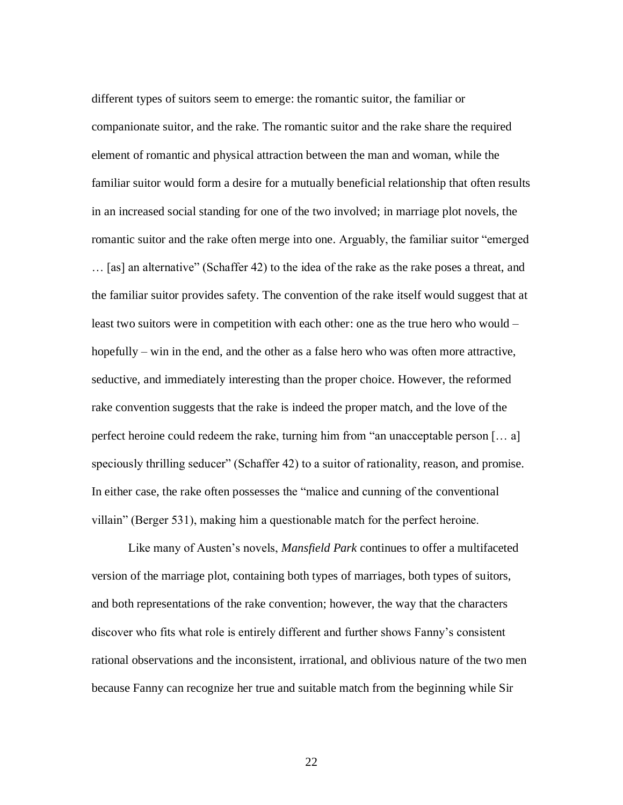different types of suitors seem to emerge: the romantic suitor, the familiar or companionate suitor, and the rake. The romantic suitor and the rake share the required element of romantic and physical attraction between the man and woman, while the familiar suitor would form a desire for a mutually beneficial relationship that often results in an increased social standing for one of the two involved; in marriage plot novels, the romantic suitor and the rake often merge into one. Arguably, the familiar suitor "emerged … [as] an alternative" (Schaffer 42) to the idea of the rake as the rake poses a threat, and the familiar suitor provides safety. The convention of the rake itself would suggest that at least two suitors were in competition with each other: one as the true hero who would – hopefully – win in the end, and the other as a false hero who was often more attractive, seductive, and immediately interesting than the proper choice. However, the reformed rake convention suggests that the rake is indeed the proper match, and the love of the perfect heroine could redeem the rake, turning him from "an unacceptable person [… a] speciously thrilling seducer" (Schaffer 42) to a suitor of rationality, reason, and promise. In either case, the rake often possesses the "malice and cunning of the conventional villain" (Berger 531), making him a questionable match for the perfect heroine.

Like many of Austen's novels, *Mansfield Park* continues to offer a multifaceted version of the marriage plot, containing both types of marriages, both types of suitors, and both representations of the rake convention; however, the way that the characters discover who fits what role is entirely different and further shows Fanny's consistent rational observations and the inconsistent, irrational, and oblivious nature of the two men because Fanny can recognize her true and suitable match from the beginning while Sir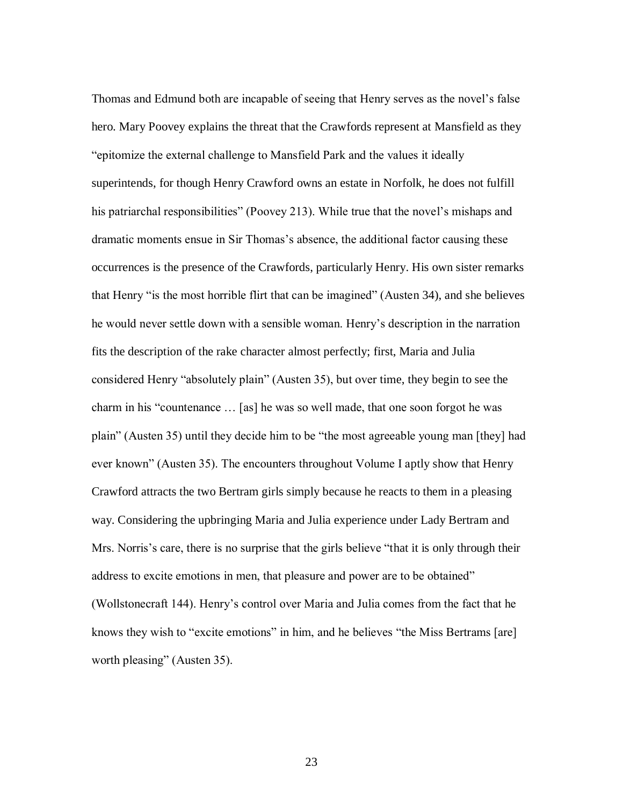Thomas and Edmund both are incapable of seeing that Henry serves as the novel's false hero. Mary Poovey explains the threat that the Crawfords represent at Mansfield as they "epitomize the external challenge to Mansfield Park and the values it ideally superintends, for though Henry Crawford owns an estate in Norfolk, he does not fulfill his patriarchal responsibilities" (Poovey 213). While true that the novel's mishaps and dramatic moments ensue in Sir Thomas's absence, the additional factor causing these occurrences is the presence of the Crawfords, particularly Henry. His own sister remarks that Henry "is the most horrible flirt that can be imagined" (Austen 34), and she believes he would never settle down with a sensible woman. Henry's description in the narration fits the description of the rake character almost perfectly; first, Maria and Julia considered Henry "absolutely plain" (Austen 35), but over time, they begin to see the charm in his "countenance … [as] he was so well made, that one soon forgot he was plain" (Austen 35) until they decide him to be "the most agreeable young man [they] had ever known" (Austen 35). The encounters throughout Volume I aptly show that Henry Crawford attracts the two Bertram girls simply because he reacts to them in a pleasing way. Considering the upbringing Maria and Julia experience under Lady Bertram and Mrs. Norris's care, there is no surprise that the girls believe "that it is only through their address to excite emotions in men, that pleasure and power are to be obtained" (Wollstonecraft 144). Henry's control over Maria and Julia comes from the fact that he knows they wish to "excite emotions" in him, and he believes "the Miss Bertrams [are] worth pleasing" (Austen 35).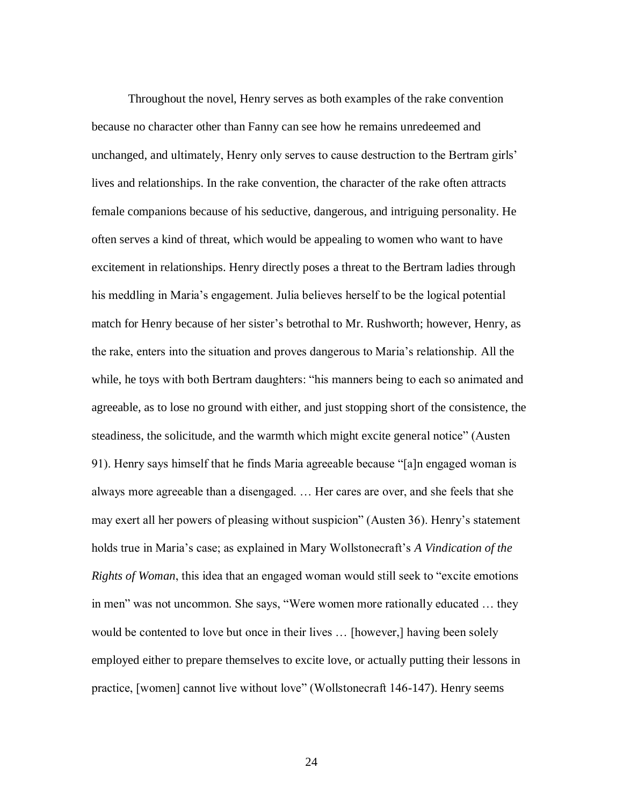Throughout the novel, Henry serves as both examples of the rake convention because no character other than Fanny can see how he remains unredeemed and unchanged, and ultimately, Henry only serves to cause destruction to the Bertram girls' lives and relationships. In the rake convention, the character of the rake often attracts female companions because of his seductive, dangerous, and intriguing personality. He often serves a kind of threat, which would be appealing to women who want to have excitement in relationships. Henry directly poses a threat to the Bertram ladies through his meddling in Maria's engagement. Julia believes herself to be the logical potential match for Henry because of her sister's betrothal to Mr. Rushworth; however, Henry, as the rake, enters into the situation and proves dangerous to Maria's relationship. All the while, he toys with both Bertram daughters: "his manners being to each so animated and agreeable, as to lose no ground with either, and just stopping short of the consistence, the steadiness, the solicitude, and the warmth which might excite general notice" (Austen 91). Henry says himself that he finds Maria agreeable because "[a]n engaged woman is always more agreeable than a disengaged. … Her cares are over, and she feels that she may exert all her powers of pleasing without suspicion" (Austen 36). Henry's statement holds true in Maria's case; as explained in Mary Wollstonecraft's *A Vindication of the Rights of Woman*, this idea that an engaged woman would still seek to "excite emotions in men" was not uncommon. She says, "Were women more rationally educated … they would be contented to love but once in their lives … [however,] having been solely employed either to prepare themselves to excite love, or actually putting their lessons in practice, [women] cannot live without love" (Wollstonecraft 146-147). Henry seems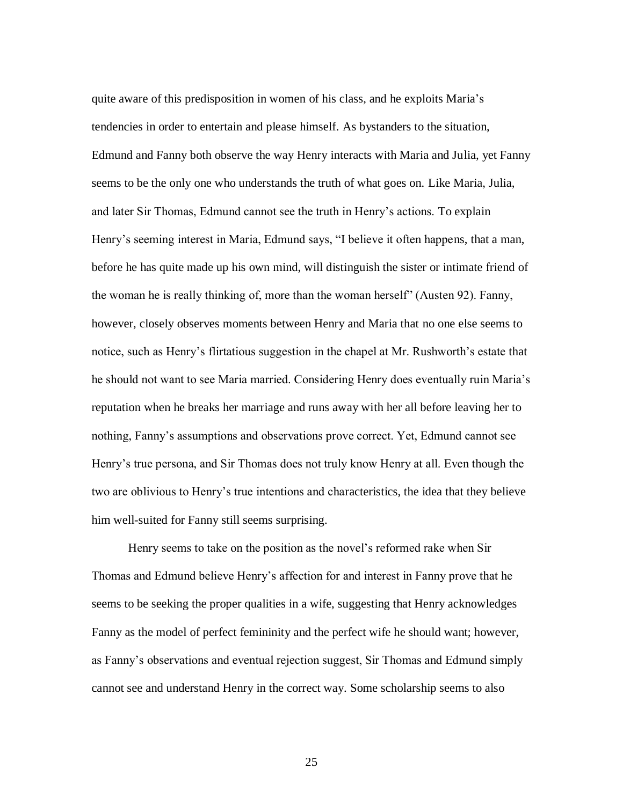quite aware of this predisposition in women of his class, and he exploits Maria's tendencies in order to entertain and please himself. As bystanders to the situation, Edmund and Fanny both observe the way Henry interacts with Maria and Julia, yet Fanny seems to be the only one who understands the truth of what goes on. Like Maria, Julia, and later Sir Thomas, Edmund cannot see the truth in Henry's actions. To explain Henry's seeming interest in Maria, Edmund says, "I believe it often happens, that a man, before he has quite made up his own mind, will distinguish the sister or intimate friend of the woman he is really thinking of, more than the woman herself" (Austen 92). Fanny, however, closely observes moments between Henry and Maria that no one else seems to notice, such as Henry's flirtatious suggestion in the chapel at Mr. Rushworth's estate that he should not want to see Maria married. Considering Henry does eventually ruin Maria's reputation when he breaks her marriage and runs away with her all before leaving her to nothing, Fanny's assumptions and observations prove correct. Yet, Edmund cannot see Henry's true persona, and Sir Thomas does not truly know Henry at all. Even though the two are oblivious to Henry's true intentions and characteristics, the idea that they believe him well-suited for Fanny still seems surprising.

Henry seems to take on the position as the novel's reformed rake when Sir Thomas and Edmund believe Henry's affection for and interest in Fanny prove that he seems to be seeking the proper qualities in a wife, suggesting that Henry acknowledges Fanny as the model of perfect femininity and the perfect wife he should want; however, as Fanny's observations and eventual rejection suggest, Sir Thomas and Edmund simply cannot see and understand Henry in the correct way. Some scholarship seems to also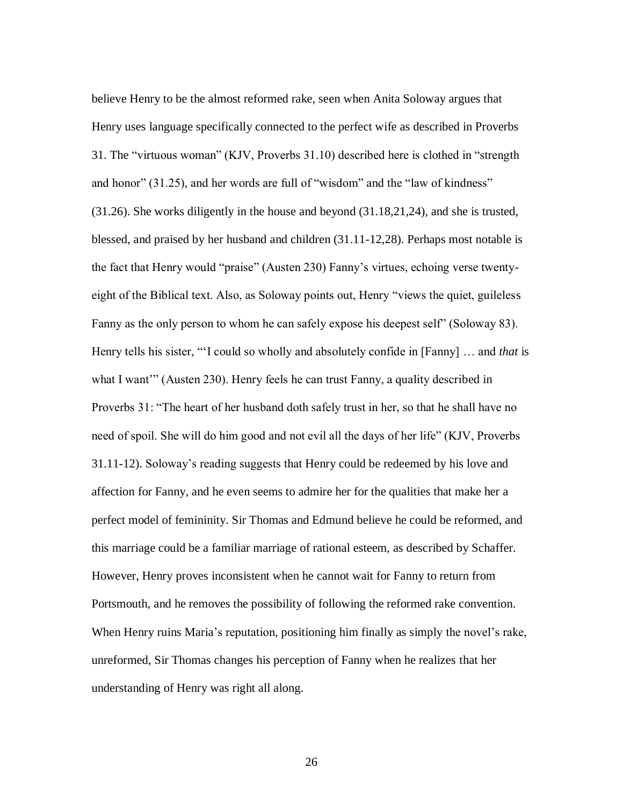believe Henry to be the almost reformed rake, seen when Anita Soloway argues that Henry uses language specifically connected to the perfect wife as described in Proverbs 31. The "virtuous woman" (KJV, Proverbs 31.10) described here is clothed in "strength and honor" (31.25), and her words are full of "wisdom" and the "law of kindness" (31.26). She works diligently in the house and beyond (31.18,21,24), and she is trusted, blessed, and praised by her husband and children (31.11-12,28). Perhaps most notable is the fact that Henry would "praise" (Austen 230) Fanny's virtues, echoing verse twentyeight of the Biblical text. Also, as Soloway points out, Henry "views the quiet, guileless Fanny as the only person to whom he can safely expose his deepest self" (Soloway 83). Henry tells his sister, "'I could so wholly and absolutely confide in [Fanny] … and *that* is what I want'" (Austen 230). Henry feels he can trust Fanny, a quality described in Proverbs 31: "The heart of her husband doth safely trust in her, so that he shall have no need of spoil. She will do him good and not evil all the days of her life" (KJV, Proverbs 31.11-12). Soloway's reading suggests that Henry could be redeemed by his love and affection for Fanny, and he even seems to admire her for the qualities that make her a perfect model of femininity. Sir Thomas and Edmund believe he could be reformed, and this marriage could be a familiar marriage of rational esteem, as described by Schaffer. However, Henry proves inconsistent when he cannot wait for Fanny to return from Portsmouth, and he removes the possibility of following the reformed rake convention. When Henry ruins Maria's reputation, positioning him finally as simply the novel's rake, unreformed, Sir Thomas changes his perception of Fanny when he realizes that her understanding of Henry was right all along.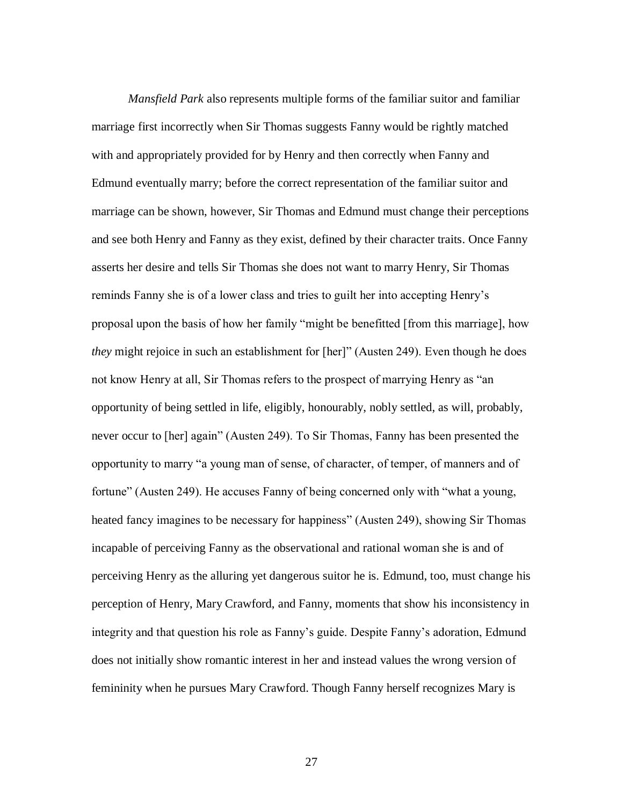*Mansfield Park* also represents multiple forms of the familiar suitor and familiar marriage first incorrectly when Sir Thomas suggests Fanny would be rightly matched with and appropriately provided for by Henry and then correctly when Fanny and Edmund eventually marry; before the correct representation of the familiar suitor and marriage can be shown, however, Sir Thomas and Edmund must change their perceptions and see both Henry and Fanny as they exist, defined by their character traits. Once Fanny asserts her desire and tells Sir Thomas she does not want to marry Henry, Sir Thomas reminds Fanny she is of a lower class and tries to guilt her into accepting Henry's proposal upon the basis of how her family "might be benefitted [from this marriage], how *they* might rejoice in such an establishment for [her]" (Austen 249). Even though he does not know Henry at all, Sir Thomas refers to the prospect of marrying Henry as "an opportunity of being settled in life, eligibly, honourably, nobly settled, as will, probably, never occur to [her] again" (Austen 249). To Sir Thomas, Fanny has been presented the opportunity to marry "a young man of sense, of character, of temper, of manners and of fortune" (Austen 249). He accuses Fanny of being concerned only with "what a young, heated fancy imagines to be necessary for happiness" (Austen 249), showing Sir Thomas incapable of perceiving Fanny as the observational and rational woman she is and of perceiving Henry as the alluring yet dangerous suitor he is. Edmund, too, must change his perception of Henry, Mary Crawford, and Fanny, moments that show his inconsistency in integrity and that question his role as Fanny's guide. Despite Fanny's adoration, Edmund does not initially show romantic interest in her and instead values the wrong version of femininity when he pursues Mary Crawford. Though Fanny herself recognizes Mary is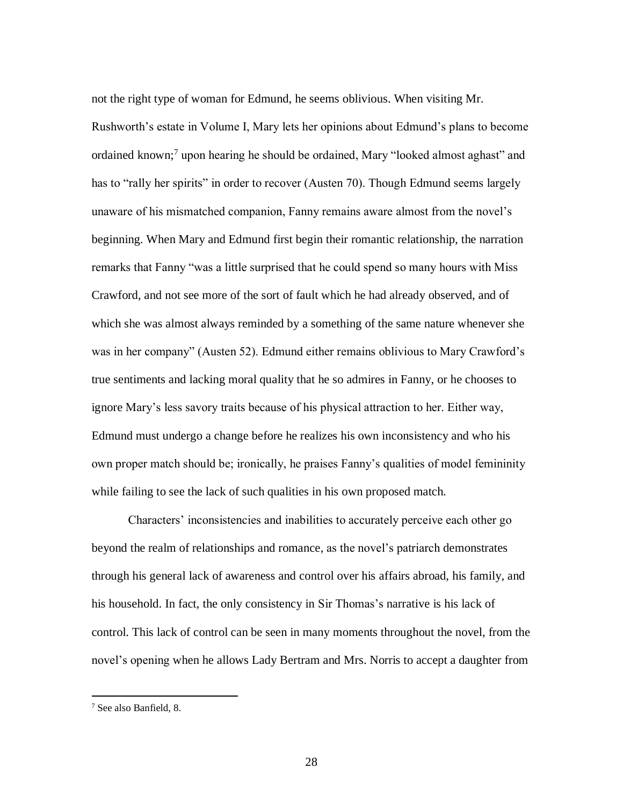not the right type of woman for Edmund, he seems oblivious. When visiting Mr. Rushworth's estate in Volume I, Mary lets her opinions about Edmund's plans to become ordained known; <sup>7</sup> upon hearing he should be ordained, Mary "looked almost aghast" and has to "rally her spirits" in order to recover (Austen 70). Though Edmund seems largely unaware of his mismatched companion, Fanny remains aware almost from the novel's beginning. When Mary and Edmund first begin their romantic relationship, the narration remarks that Fanny "was a little surprised that he could spend so many hours with Miss Crawford, and not see more of the sort of fault which he had already observed, and of which she was almost always reminded by a something of the same nature whenever she was in her company" (Austen 52). Edmund either remains oblivious to Mary Crawford's true sentiments and lacking moral quality that he so admires in Fanny, or he chooses to ignore Mary's less savory traits because of his physical attraction to her. Either way, Edmund must undergo a change before he realizes his own inconsistency and who his own proper match should be; ironically, he praises Fanny's qualities of model femininity while failing to see the lack of such qualities in his own proposed match.

Characters' inconsistencies and inabilities to accurately perceive each other go beyond the realm of relationships and romance, as the novel's patriarch demonstrates through his general lack of awareness and control over his affairs abroad, his family, and his household. In fact, the only consistency in Sir Thomas's narrative is his lack of control. This lack of control can be seen in many moments throughout the novel, from the novel's opening when he allows Lady Bertram and Mrs. Norris to accept a daughter from

<sup>7</sup> See also Banfield, 8.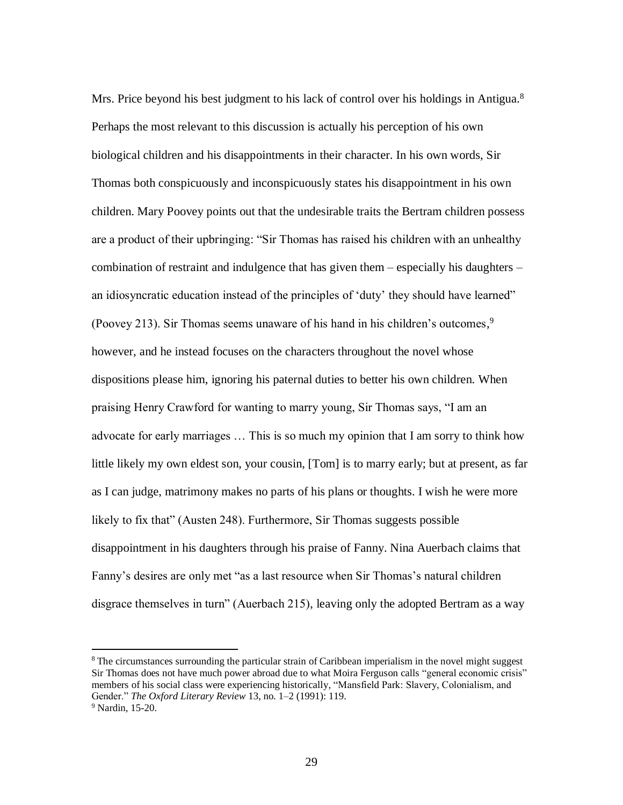Mrs. Price beyond his best judgment to his lack of control over his holdings in Antigua.<sup>8</sup> Perhaps the most relevant to this discussion is actually his perception of his own biological children and his disappointments in their character. In his own words, Sir Thomas both conspicuously and inconspicuously states his disappointment in his own children. Mary Poovey points out that the undesirable traits the Bertram children possess are a product of their upbringing: "Sir Thomas has raised his children with an unhealthy combination of restraint and indulgence that has given them – especially his daughters – an idiosyncratic education instead of the principles of 'duty' they should have learned" (Poovey 213). Sir Thomas seems unaware of his hand in his children's outcomes, 9 however, and he instead focuses on the characters throughout the novel whose dispositions please him, ignoring his paternal duties to better his own children. When praising Henry Crawford for wanting to marry young, Sir Thomas says, "I am an advocate for early marriages … This is so much my opinion that I am sorry to think how little likely my own eldest son, your cousin, [Tom] is to marry early; but at present, as far as I can judge, matrimony makes no parts of his plans or thoughts. I wish he were more likely to fix that" (Austen 248). Furthermore, Sir Thomas suggests possible disappointment in his daughters through his praise of Fanny. Nina Auerbach claims that Fanny's desires are only met "as a last resource when Sir Thomas's natural children disgrace themselves in turn" (Auerbach 215), leaving only the adopted Bertram as a way

<sup>&</sup>lt;sup>8</sup> The circumstances surrounding the particular strain of Caribbean imperialism in the novel might suggest Sir Thomas does not have much power abroad due to what Moira Ferguson calls "general economic crisis" members of his social class were experiencing historically, "Mansfield Park: Slavery, Colonialism, and Gender." *The Oxford Literary Review* 13, no. 1–2 (1991): 119.  $9$  Nardin, 15-20.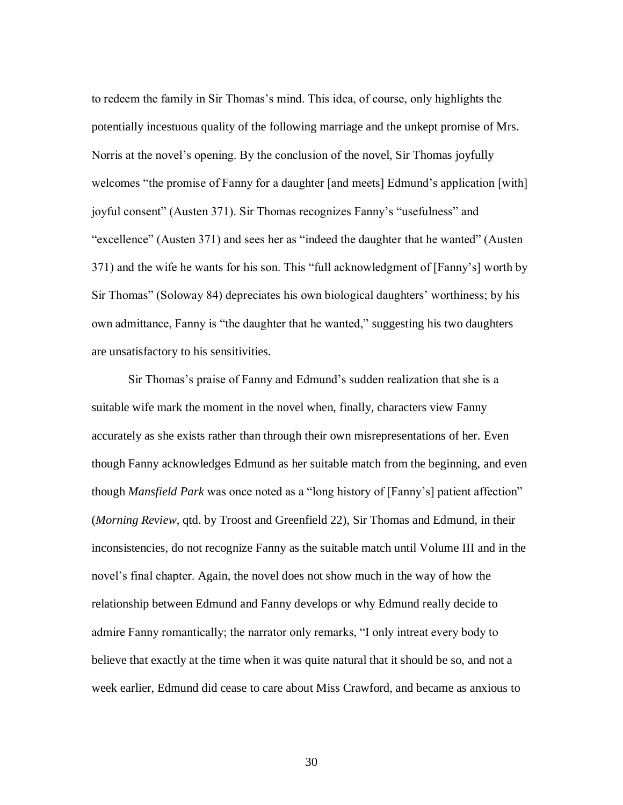to redeem the family in Sir Thomas's mind. This idea, of course, only highlights the potentially incestuous quality of the following marriage and the unkept promise of Mrs. Norris at the novel's opening. By the conclusion of the novel, Sir Thomas joyfully welcomes "the promise of Fanny for a daughter [and meets] Edmund's application [with] joyful consent" (Austen 371). Sir Thomas recognizes Fanny's "usefulness" and "excellence" (Austen 371) and sees her as "indeed the daughter that he wanted" (Austen 371) and the wife he wants for his son. This "full acknowledgment of [Fanny's] worth by Sir Thomas" (Soloway 84) depreciates his own biological daughters' worthiness; by his own admittance, Fanny is "the daughter that he wanted," suggesting his two daughters are unsatisfactory to his sensitivities.

Sir Thomas's praise of Fanny and Edmund's sudden realization that she is a suitable wife mark the moment in the novel when, finally, characters view Fanny accurately as she exists rather than through their own misrepresentations of her. Even though Fanny acknowledges Edmund as her suitable match from the beginning, and even though *Mansfield Park* was once noted as a "long history of [Fanny's] patient affection" (*Morning Review*, qtd. by Troost and Greenfield 22), Sir Thomas and Edmund, in their inconsistencies, do not recognize Fanny as the suitable match until Volume III and in the novel's final chapter. Again, the novel does not show much in the way of how the relationship between Edmund and Fanny develops or why Edmund really decide to admire Fanny romantically; the narrator only remarks, "I only intreat every body to believe that exactly at the time when it was quite natural that it should be so, and not a week earlier, Edmund did cease to care about Miss Crawford, and became as anxious to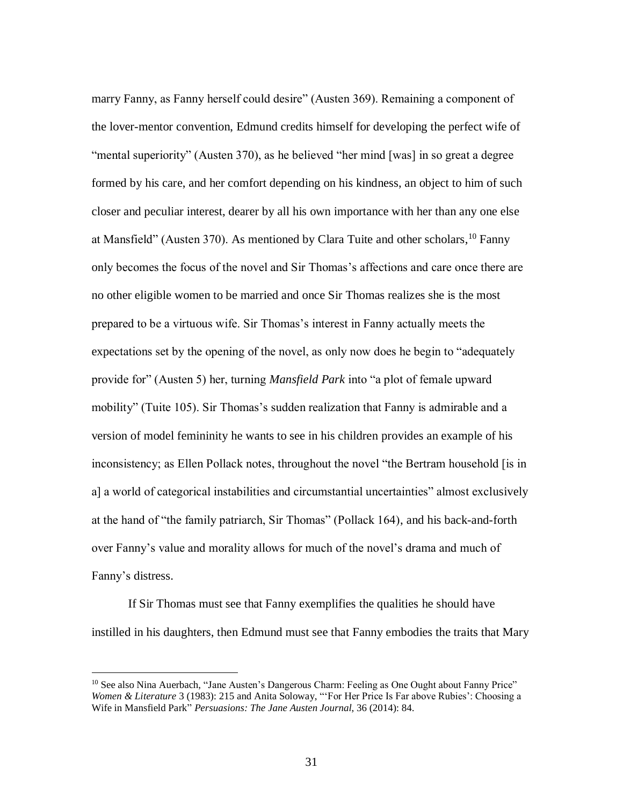marry Fanny, as Fanny herself could desire" (Austen 369). Remaining a component of the lover-mentor convention, Edmund credits himself for developing the perfect wife of "mental superiority" (Austen 370), as he believed "her mind [was] in so great a degree formed by his care, and her comfort depending on his kindness, an object to him of such closer and peculiar interest, dearer by all his own importance with her than any one else at Mansfield" (Austen 370). As mentioned by Clara Tuite and other scholars, <sup>10</sup> Fanny only becomes the focus of the novel and Sir Thomas's affections and care once there are no other eligible women to be married and once Sir Thomas realizes she is the most prepared to be a virtuous wife. Sir Thomas's interest in Fanny actually meets the expectations set by the opening of the novel, as only now does he begin to "adequately provide for" (Austen 5) her, turning *Mansfield Park* into "a plot of female upward mobility" (Tuite 105). Sir Thomas's sudden realization that Fanny is admirable and a version of model femininity he wants to see in his children provides an example of his inconsistency; as Ellen Pollack notes, throughout the novel "the Bertram household [is in a] a world of categorical instabilities and circumstantial uncertainties" almost exclusively at the hand of "the family patriarch, Sir Thomas" (Pollack 164), and his back-and-forth over Fanny's value and morality allows for much of the novel's drama and much of Fanny's distress.

If Sir Thomas must see that Fanny exemplifies the qualities he should have instilled in his daughters, then Edmund must see that Fanny embodies the traits that Mary

 $\overline{\phantom{a}}$ 

<sup>&</sup>lt;sup>10</sup> See also Nina Auerbach, "Jane Austen's Dangerous Charm: Feeling as One Ought about Fanny Price" *Women & Literature* 3 (1983): 215 and Anita Soloway, "'For Her Price Is Far above Rubies': Choosing a Wife in Mansfield Park" *Persuasions: The Jane Austen Journal*, 36 (2014): 84.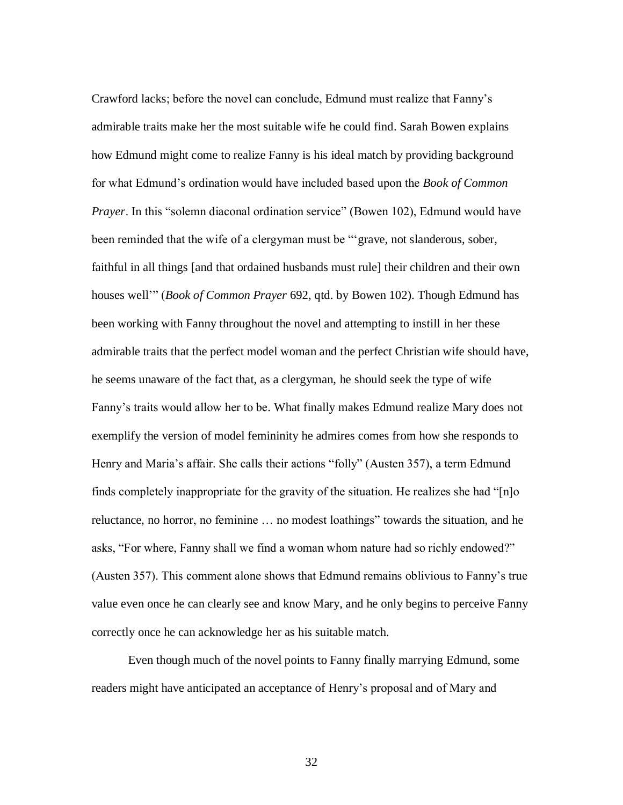Crawford lacks; before the novel can conclude, Edmund must realize that Fanny's admirable traits make her the most suitable wife he could find. Sarah Bowen explains how Edmund might come to realize Fanny is his ideal match by providing background for what Edmund's ordination would have included based upon the *Book of Common Prayer*. In this "solemn diaconal ordination service" (Bowen 102), Edmund would have been reminded that the wife of a clergyman must be "'grave, not slanderous, sober, faithful in all things [and that ordained husbands must rule] their children and their own houses well'" (*Book of Common Prayer* 692, qtd. by Bowen 102). Though Edmund has been working with Fanny throughout the novel and attempting to instill in her these admirable traits that the perfect model woman and the perfect Christian wife should have, he seems unaware of the fact that, as a clergyman, he should seek the type of wife Fanny's traits would allow her to be. What finally makes Edmund realize Mary does not exemplify the version of model femininity he admires comes from how she responds to Henry and Maria's affair. She calls their actions "folly" (Austen 357), a term Edmund finds completely inappropriate for the gravity of the situation. He realizes she had "[n]o reluctance, no horror, no feminine … no modest loathings" towards the situation, and he asks, "For where, Fanny shall we find a woman whom nature had so richly endowed?" (Austen 357). This comment alone shows that Edmund remains oblivious to Fanny's true value even once he can clearly see and know Mary, and he only begins to perceive Fanny correctly once he can acknowledge her as his suitable match.

Even though much of the novel points to Fanny finally marrying Edmund, some readers might have anticipated an acceptance of Henry's proposal and of Mary and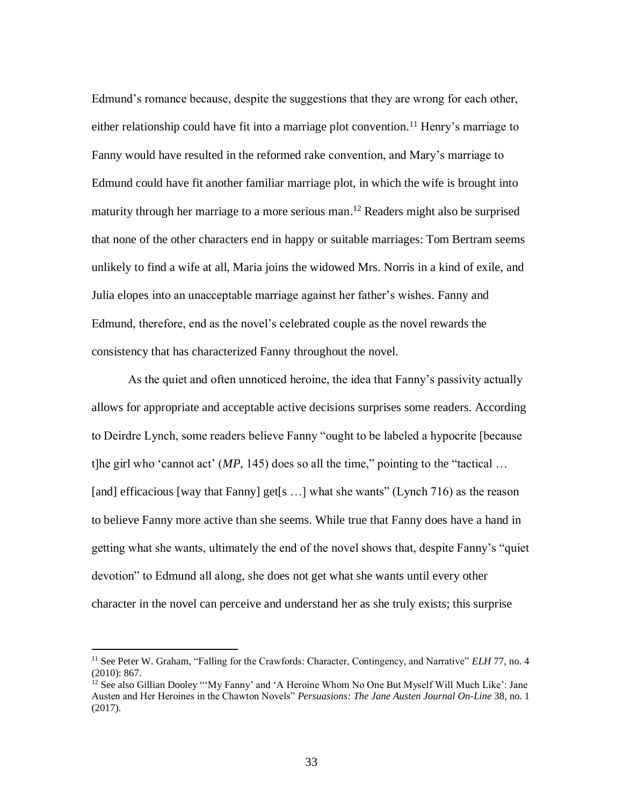Edmund's romance because, despite the suggestions that they are wrong for each other, either relationship could have fit into a marriage plot convention.<sup>11</sup> Henry's marriage to Fanny would have resulted in the reformed rake convention, and Mary's marriage to Edmund could have fit another familiar marriage plot, in which the wife is brought into maturity through her marriage to a more serious man. <sup>12</sup> Readers might also be surprised that none of the other characters end in happy or suitable marriages: Tom Bertram seems unlikely to find a wife at all, Maria joins the widowed Mrs. Norris in a kind of exile, and Julia elopes into an unacceptable marriage against her father's wishes. Fanny and Edmund, therefore, end as the novel's celebrated couple as the novel rewards the consistency that has characterized Fanny throughout the novel.

As the quiet and often unnoticed heroine, the idea that Fanny's passivity actually allows for appropriate and acceptable active decisions surprises some readers. According to Deirdre Lynch, some readers believe Fanny "ought to be labeled a hypocrite [because t]he girl who 'cannot act'  $(MP, 145)$  does so all the time," pointing to the "tactical ... [and] efficacious [way that Fanny] get[s ...] what she wants" (Lynch 716) as the reason to believe Fanny more active than she seems. While true that Fanny does have a hand in getting what she wants, ultimately the end of the novel shows that, despite Fanny's "quiet devotion" to Edmund all along, she does not get what she wants until every other character in the novel can perceive and understand her as she truly exists; this surprise

<sup>&</sup>lt;sup>11</sup> See Peter W. Graham, "Falling for the Crawfords: Character, Contingency, and Narrative" *ELH* 77, no. 4 (2010): 867.

<sup>&</sup>lt;sup>12</sup> See also Gillian Dooley "'My Fanny' and 'A Heroine Whom No One But Myself Will Much Like': Jane Austen and Her Heroines in the Chawton Novels" *Persuasions: The Jane Austen Journal On-Line* 38, no. 1 (2017).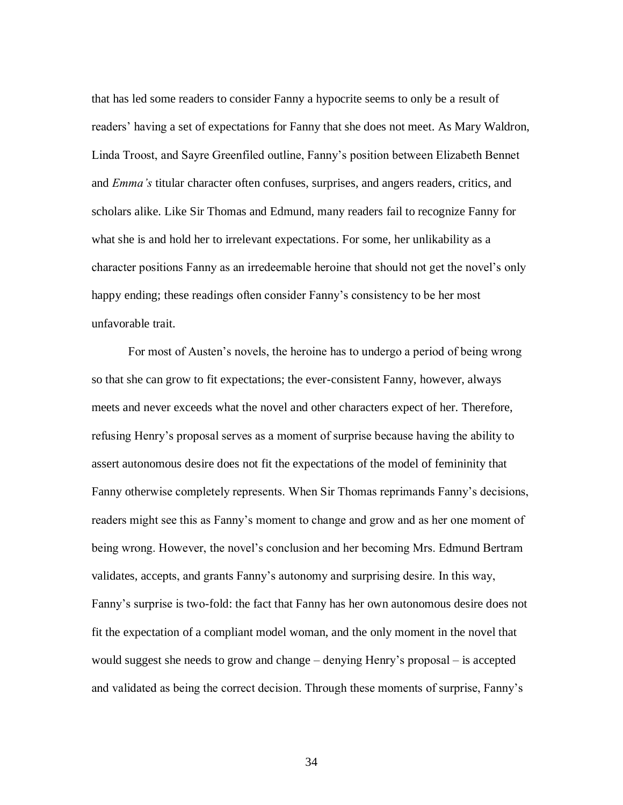that has led some readers to consider Fanny a hypocrite seems to only be a result of readers' having a set of expectations for Fanny that she does not meet. As Mary Waldron, Linda Troost, and Sayre Greenfiled outline, Fanny's position between Elizabeth Bennet and *Emma's* titular character often confuses, surprises, and angers readers, critics, and scholars alike. Like Sir Thomas and Edmund, many readers fail to recognize Fanny for what she is and hold her to irrelevant expectations. For some, her unlikability as a character positions Fanny as an irredeemable heroine that should not get the novel's only happy ending; these readings often consider Fanny's consistency to be her most unfavorable trait.

For most of Austen's novels, the heroine has to undergo a period of being wrong so that she can grow to fit expectations; the ever-consistent Fanny, however, always meets and never exceeds what the novel and other characters expect of her. Therefore, refusing Henry's proposal serves as a moment of surprise because having the ability to assert autonomous desire does not fit the expectations of the model of femininity that Fanny otherwise completely represents. When Sir Thomas reprimands Fanny's decisions, readers might see this as Fanny's moment to change and grow and as her one moment of being wrong. However, the novel's conclusion and her becoming Mrs. Edmund Bertram validates, accepts, and grants Fanny's autonomy and surprising desire. In this way, Fanny's surprise is two-fold: the fact that Fanny has her own autonomous desire does not fit the expectation of a compliant model woman, and the only moment in the novel that would suggest she needs to grow and change – denying Henry's proposal – is accepted and validated as being the correct decision. Through these moments of surprise, Fanny's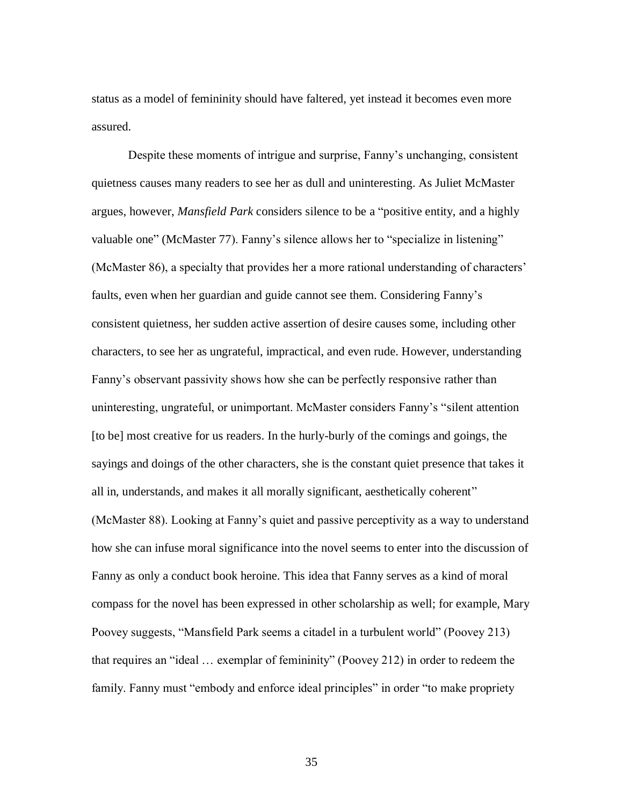status as a model of femininity should have faltered, yet instead it becomes even more assured.

Despite these moments of intrigue and surprise, Fanny's unchanging, consistent quietness causes many readers to see her as dull and uninteresting. As Juliet McMaster argues, however, *Mansfield Park* considers silence to be a "positive entity, and a highly valuable one" (McMaster 77). Fanny's silence allows her to "specialize in listening" (McMaster 86), a specialty that provides her a more rational understanding of characters' faults, even when her guardian and guide cannot see them. Considering Fanny's consistent quietness, her sudden active assertion of desire causes some, including other characters, to see her as ungrateful, impractical, and even rude. However, understanding Fanny's observant passivity shows how she can be perfectly responsive rather than uninteresting, ungrateful, or unimportant. McMaster considers Fanny's "silent attention [to be] most creative for us readers. In the hurly-burly of the comings and goings, the sayings and doings of the other characters, she is the constant quiet presence that takes it all in, understands, and makes it all morally significant, aesthetically coherent" (McMaster 88). Looking at Fanny's quiet and passive perceptivity as a way to understand how she can infuse moral significance into the novel seems to enter into the discussion of Fanny as only a conduct book heroine. This idea that Fanny serves as a kind of moral compass for the novel has been expressed in other scholarship as well; for example, Mary Poovey suggests, "Mansfield Park seems a citadel in a turbulent world" (Poovey 213) that requires an "ideal … exemplar of femininity" (Poovey 212) in order to redeem the family. Fanny must "embody and enforce ideal principles" in order "to make propriety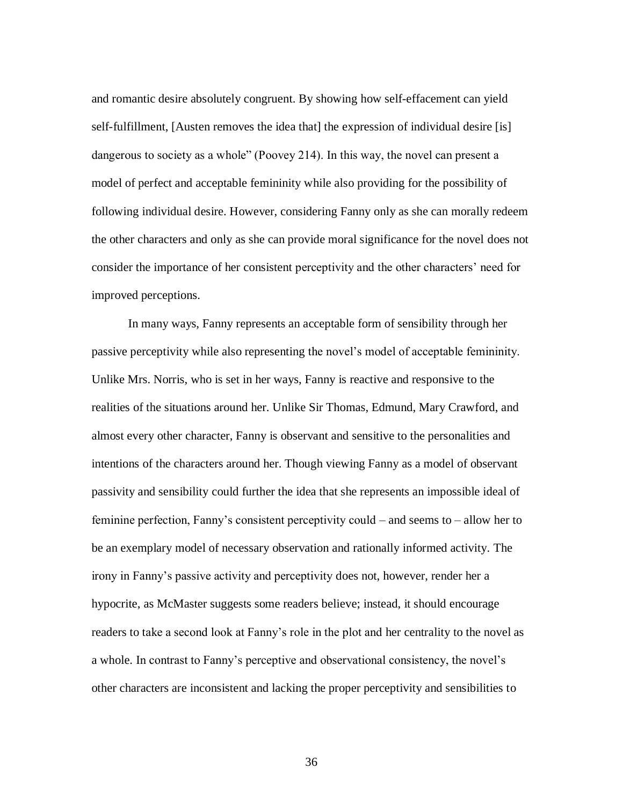and romantic desire absolutely congruent. By showing how self-effacement can yield self-fulfillment, [Austen removes the idea that] the expression of individual desire [is] dangerous to society as a whole" (Poovey 214). In this way, the novel can present a model of perfect and acceptable femininity while also providing for the possibility of following individual desire. However, considering Fanny only as she can morally redeem the other characters and only as she can provide moral significance for the novel does not consider the importance of her consistent perceptivity and the other characters' need for improved perceptions.

In many ways, Fanny represents an acceptable form of sensibility through her passive perceptivity while also representing the novel's model of acceptable femininity. Unlike Mrs. Norris, who is set in her ways, Fanny is reactive and responsive to the realities of the situations around her. Unlike Sir Thomas, Edmund, Mary Crawford, and almost every other character, Fanny is observant and sensitive to the personalities and intentions of the characters around her. Though viewing Fanny as a model of observant passivity and sensibility could further the idea that she represents an impossible ideal of feminine perfection, Fanny's consistent perceptivity could – and seems to – allow her to be an exemplary model of necessary observation and rationally informed activity. The irony in Fanny's passive activity and perceptivity does not, however, render her a hypocrite, as McMaster suggests some readers believe; instead, it should encourage readers to take a second look at Fanny's role in the plot and her centrality to the novel as a whole. In contrast to Fanny's perceptive and observational consistency, the novel's other characters are inconsistent and lacking the proper perceptivity and sensibilities to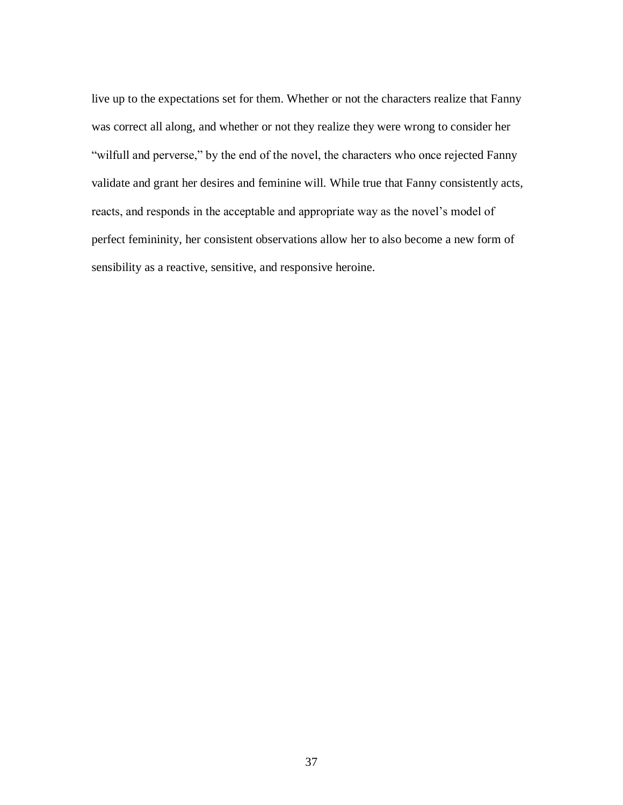live up to the expectations set for them. Whether or not the characters realize that Fanny was correct all along, and whether or not they realize they were wrong to consider her "wilfull and perverse," by the end of the novel, the characters who once rejected Fanny validate and grant her desires and feminine will. While true that Fanny consistently acts, reacts, and responds in the acceptable and appropriate way as the novel's model of perfect femininity, her consistent observations allow her to also become a new form of sensibility as a reactive, sensitive, and responsive heroine.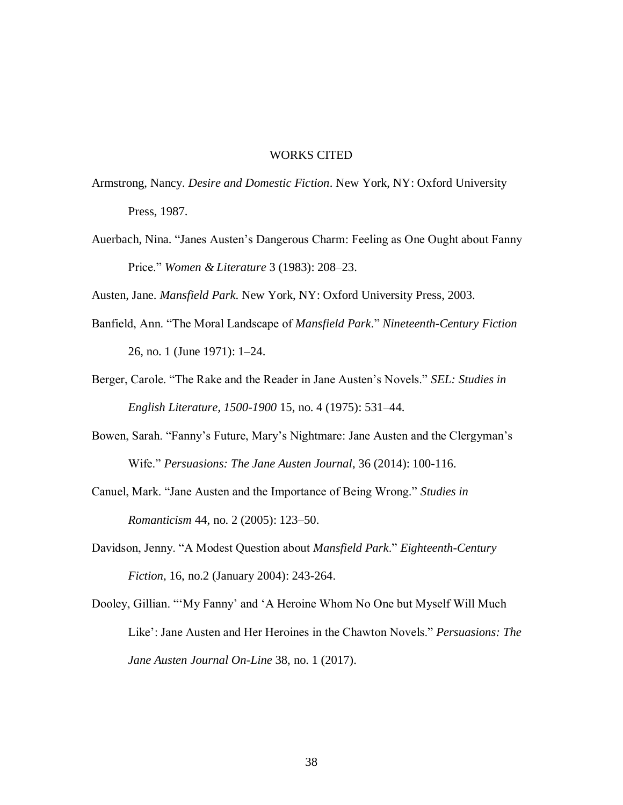#### WORKS CITED

- Armstrong, Nancy. *Desire and Domestic Fiction*. New York, NY: Oxford University Press, 1987.
- Auerbach, Nina. "Janes Austen's Dangerous Charm: Feeling as One Ought about Fanny Price." *Women & Literature* 3 (1983): 208–23.

Austen, Jane. *Mansfield Park*. New York, NY: Oxford University Press, 2003.

- Banfield, Ann. "The Moral Landscape of *Mansfield Park*." *Nineteenth-Century Fiction* 26, no. 1 (June 1971): 1–24.
- Berger, Carole. "The Rake and the Reader in Jane Austen's Novels." *SEL: Studies in English Literature, 1500-1900* 15, no. 4 (1975): 531–44.
- Bowen, Sarah. "Fanny's Future, Mary's Nightmare: Jane Austen and the Clergyman's Wife." *Persuasions: The Jane Austen Journal*, 36 (2014): 100-116.
- Canuel, Mark. "Jane Austen and the Importance of Being Wrong." *Studies in Romanticism* 44, no. 2 (2005): 123–50.
- Davidson, Jenny. "A Modest Question about *Mansfield Park*." *Eighteenth-Century Fiction*, 16, no.2 (January 2004): 243-264.
- Dooley, Gillian. "'My Fanny' and 'A Heroine Whom No One but Myself Will Much Like': Jane Austen and Her Heroines in the Chawton Novels." *Persuasions: The Jane Austen Journal On-Line* 38, no. 1 (2017).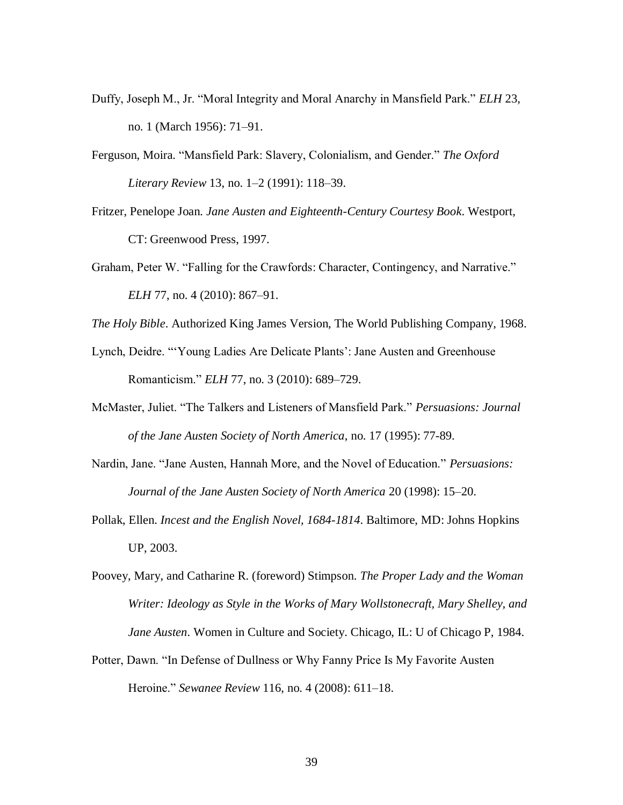- Duffy, Joseph M., Jr. "Moral Integrity and Moral Anarchy in Mansfield Park." *ELH* 23, no. 1 (March 1956): 71–91.
- Ferguson, Moira. "Mansfield Park: Slavery, Colonialism, and Gender." *The Oxford Literary Review* 13, no. 1–2 (1991): 118–39.
- Fritzer, Penelope Joan. *Jane Austen and Eighteenth-Century Courtesy Book*. Westport, CT: Greenwood Press, 1997.
- Graham, Peter W. "Falling for the Crawfords: Character, Contingency, and Narrative." *ELH* 77, no. 4 (2010): 867–91.

*The Holy Bible*. Authorized King James Version, The World Publishing Company, 1968.

- Lynch, Deidre. "'Young Ladies Are Delicate Plants': Jane Austen and Greenhouse Romanticism." *ELH* 77, no. 3 (2010): 689–729.
- McMaster, Juliet. "The Talkers and Listeners of Mansfield Park." *Persuasions: Journal of the Jane Austen Society of North America*, no. 17 (1995): 77-89.
- Nardin, Jane. "Jane Austen, Hannah More, and the Novel of Education." *Persuasions: Journal of the Jane Austen Society of North America* 20 (1998): 15–20.
- Pollak, Ellen. *Incest and the English Novel, 1684-1814*. Baltimore, MD: Johns Hopkins UP, 2003.
- Poovey, Mary, and Catharine R. (foreword) Stimpson. *The Proper Lady and the Woman Writer: Ideology as Style in the Works of Mary Wollstonecraft, Mary Shelley, and Jane Austen*. Women in Culture and Society. Chicago, IL: U of Chicago P, 1984.
- Potter, Dawn. "In Defense of Dullness or Why Fanny Price Is My Favorite Austen Heroine." *Sewanee Review* 116, no. 4 (2008): 611–18.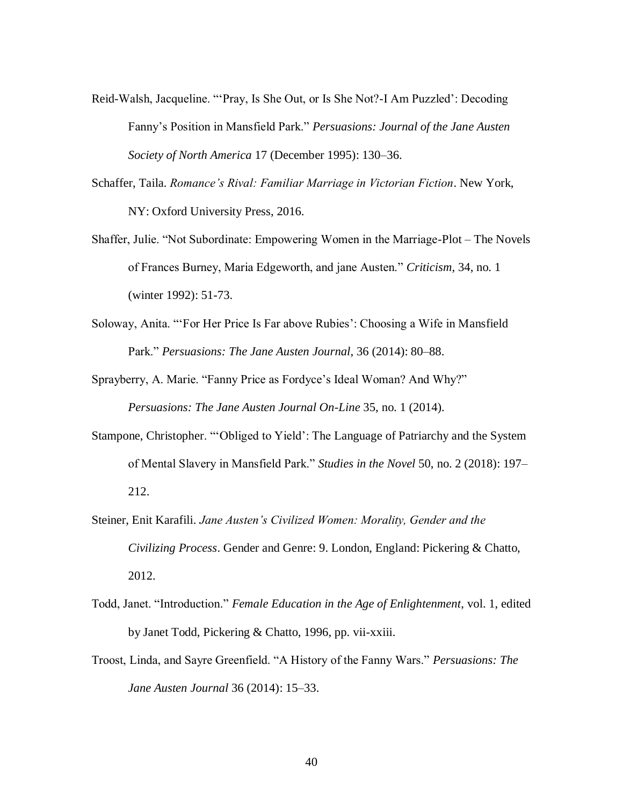- Reid-Walsh, Jacqueline. "'Pray, Is She Out, or Is She Not?-I Am Puzzled': Decoding Fanny's Position in Mansfield Park." *Persuasions: Journal of the Jane Austen Society of North America* 17 (December 1995): 130–36.
- Schaffer, Taila. *Romance's Rival: Familiar Marriage in Victorian Fiction*. New York, NY: Oxford University Press, 2016.
- Shaffer, Julie. "Not Subordinate: Empowering Women in the Marriage-Plot The Novels of Frances Burney, Maria Edgeworth, and jane Austen." *Criticism*, 34, no. 1 (winter 1992): 51-73.
- Soloway, Anita. "'For Her Price Is Far above Rubies': Choosing a Wife in Mansfield Park." *Persuasions: The Jane Austen Journal*, 36 (2014): 80–88.
- Sprayberry, A. Marie. "Fanny Price as Fordyce's Ideal Woman? And Why?" *Persuasions: The Jane Austen Journal On-Line* 35, no. 1 (2014).
- Stampone, Christopher. "'Obliged to Yield': The Language of Patriarchy and the System of Mental Slavery in Mansfield Park." *Studies in the Novel* 50, no. 2 (2018): 197– 212.
- Steiner, Enit Karafili. *Jane Austen's Civilized Women: Morality, Gender and the Civilizing Process*. Gender and Genre: 9. London, England: Pickering & Chatto, 2012.
- Todd, Janet. "Introduction." *Female Education in the Age of Enlightenment*, vol. 1, edited by Janet Todd, Pickering & Chatto, 1996, pp. vii-xxiii.
- Troost, Linda, and Sayre Greenfield. "A History of the Fanny Wars." *Persuasions: The Jane Austen Journal* 36 (2014): 15–33.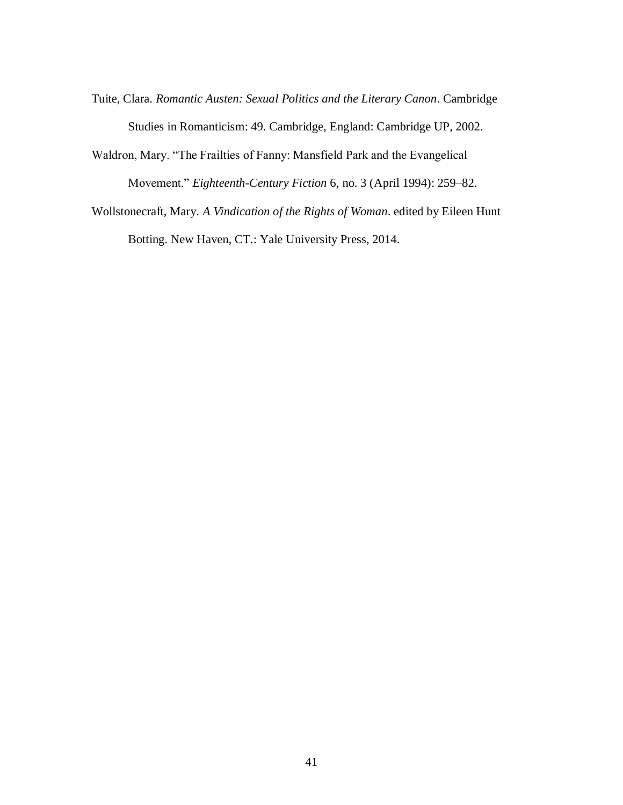- Tuite, Clara. *Romantic Austen: Sexual Politics and the Literary Canon*. Cambridge Studies in Romanticism: 49. Cambridge, England: Cambridge UP, 2002.
- Waldron, Mary. "The Frailties of Fanny: Mansfield Park and the Evangelical Movement." *Eighteenth-Century Fiction* 6, no. 3 (April 1994): 259–82.
- Wollstonecraft, Mary. *A Vindication of the Rights of Woman*. edited by Eileen Hunt Botting. New Haven, CT.: Yale University Press, 2014.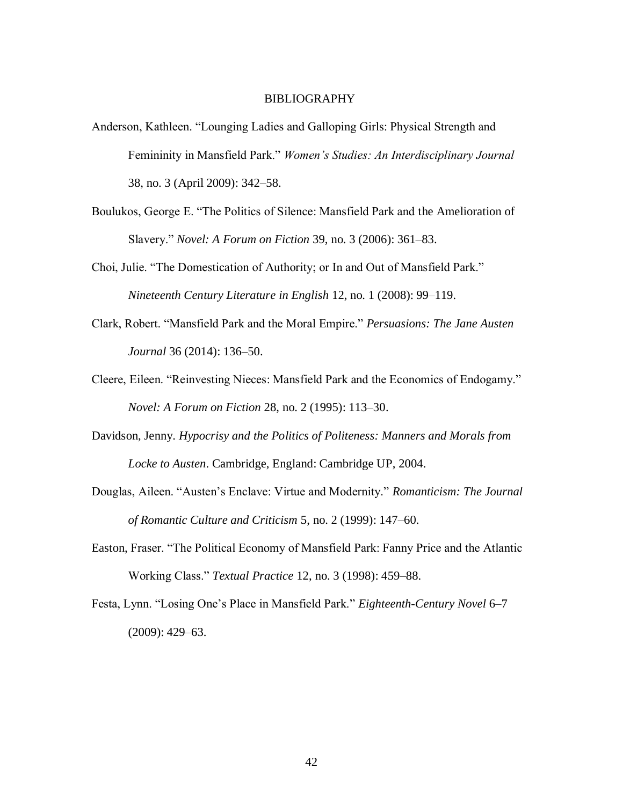#### BIBLIOGRAPHY

- Anderson, Kathleen. "Lounging Ladies and Galloping Girls: Physical Strength and Femininity in Mansfield Park." *Women's Studies: An Interdisciplinary Journal* 38, no. 3 (April 2009): 342–58.
- Boulukos, George E. "The Politics of Silence: Mansfield Park and the Amelioration of Slavery." *Novel: A Forum on Fiction* 39, no. 3 (2006): 361–83.
- Choi, Julie. "The Domestication of Authority; or In and Out of Mansfield Park." *Nineteenth Century Literature in English* 12, no. 1 (2008): 99–119.
- Clark, Robert. "Mansfield Park and the Moral Empire." *Persuasions: The Jane Austen Journal* 36 (2014): 136–50.
- Cleere, Eileen. "Reinvesting Nieces: Mansfield Park and the Economics of Endogamy." *Novel: A Forum on Fiction* 28, no. 2 (1995): 113–30.
- Davidson, Jenny. *Hypocrisy and the Politics of Politeness: Manners and Morals from Locke to Austen*. Cambridge, England: Cambridge UP, 2004.
- Douglas, Aileen. "Austen's Enclave: Virtue and Modernity." *Romanticism: The Journal of Romantic Culture and Criticism* 5, no. 2 (1999): 147–60.
- Easton, Fraser. "The Political Economy of Mansfield Park: Fanny Price and the Atlantic Working Class." *Textual Practice* 12, no. 3 (1998): 459–88.
- Festa, Lynn. "Losing One's Place in Mansfield Park." *Eighteenth-Century Novel* 6–7 (2009): 429–63.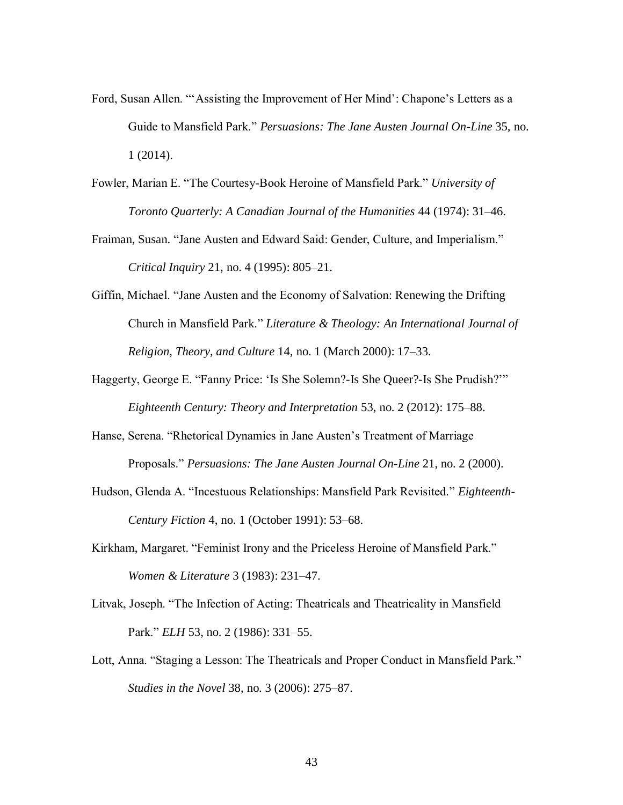- Ford, Susan Allen. "'Assisting the Improvement of Her Mind': Chapone's Letters as a Guide to Mansfield Park." *Persuasions: The Jane Austen Journal On-Line* 35, no. 1 (2014).
- Fowler, Marian E. "The Courtesy-Book Heroine of Mansfield Park." *University of Toronto Quarterly: A Canadian Journal of the Humanities* 44 (1974): 31–46.
- Fraiman, Susan. "Jane Austen and Edward Said: Gender, Culture, and Imperialism." *Critical Inquiry* 21, no. 4 (1995): 805–21.
- Giffin, Michael. "Jane Austen and the Economy of Salvation: Renewing the Drifting Church in Mansfield Park." *Literature & Theology: An International Journal of Religion, Theory, and Culture* 14, no. 1 (March 2000): 17–33.
- Haggerty, George E. "Fanny Price: 'Is She Solemn?-Is She Queer?-Is She Prudish?'" *Eighteenth Century: Theory and Interpretation* 53, no. 2 (2012): 175–88.
- Hanse, Serena. "Rhetorical Dynamics in Jane Austen's Treatment of Marriage Proposals." *Persuasions: The Jane Austen Journal On-Line* 21, no. 2 (2000).
- Hudson, Glenda A. "Incestuous Relationships: Mansfield Park Revisited." *Eighteenth-Century Fiction* 4, no. 1 (October 1991): 53–68.
- Kirkham, Margaret. "Feminist Irony and the Priceless Heroine of Mansfield Park." *Women & Literature* 3 (1983): 231–47.
- Litvak, Joseph. "The Infection of Acting: Theatricals and Theatricality in Mansfield Park." *ELH* 53, no. 2 (1986): 331–55.
- Lott, Anna. "Staging a Lesson: The Theatricals and Proper Conduct in Mansfield Park." *Studies in the Novel* 38, no. 3 (2006): 275–87.